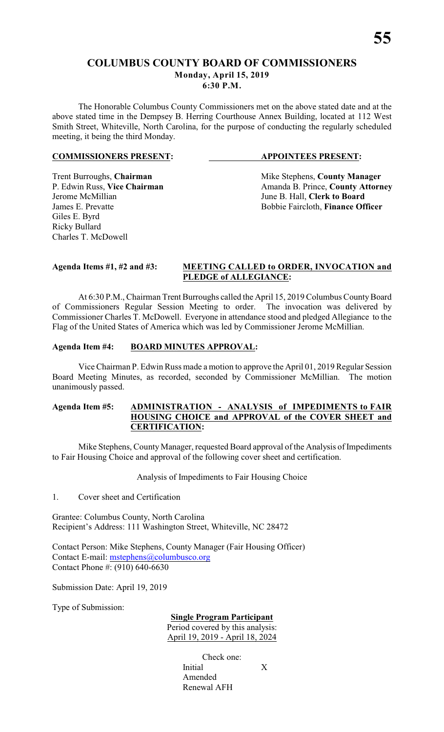# **COLUMBUS COUNTY BOARD OF COMMISSIONERS Monday, April 15, 2019**

**6:30 P.M.**

The Honorable Columbus County Commissioners met on the above stated date and at the above stated time in the Dempsey B. Herring Courthouse Annex Building, located at 112 West Smith Street, Whiteville, North Carolina, for the purpose of conducting the regularly scheduled meeting, it being the third Monday.

#### **COMMISSIONERS PRESENT: APPOINTEES PRESENT:**

Jerome McMillian June B. Hall, **Clerk to Board** Giles E. Byrd Ricky Bullard Charles T. McDowell

Trent Burroughs, **Chairman** Mike Stephens, **County Manager** P. Edwin Russ, Vice Chairman Manager Amanda B. Prince, **County Attorn** P. Edwin Russ, **Vice Chairman** Amanda B. Prince, **County Attorney** James E. Prevatte **Bobbie Faircloth**, **Finance Officer** 

#### **Agenda Items #1, #2 and #3: MEETING CALLED to ORDER, INVOCATION and PLEDGE of ALLEGIANCE:**

At 6:30 P.M., Chairman Trent Burroughs called the April 15, 2019 Columbus County Board of Commissioners Regular Session Meeting to order. The invocation was delivered by Commissioner Charles T. McDowell. Everyone in attendance stood and pledged Allegiance to the Flag of the United States of America which was led by Commissioner Jerome McMillian.

### **Agenda Item #4: BOARD MINUTES APPROVAL:**

Vice Chairman P. Edwin Russ made a motion to approve the April 01, 2019 Regular Session Board Meeting Minutes, as recorded, seconded by Commissioner McMillian. The motion unanimously passed.

### **Agenda Item #5: ADMINISTRATION - ANALYSIS of IMPEDIMENTS to FAIR HOUSING CHOICE and APPROVAL of the COVER SHEET and CERTIFICATION:**

Mike Stephens, County Manager, requested Board approval of the Analysis of Impediments to Fair Housing Choice and approval of the following cover sheet and certification.

Analysis of Impediments to Fair Housing Choice

1. Cover sheet and Certification

Grantee: Columbus County, North Carolina Recipient's Address: 111 Washington Street, Whiteville, NC 28472

Contact Person: Mike Stephens, County Manager (Fair Housing Officer) Contact E-mail: [mstephens@columbusco.org](mailto:mstephens@columbusco.org) Contact Phone #: (910) 640-6630

Submission Date: April 19, 2019

Type of Submission:

**Single Program Participant**

Period covered by this analysis: April 19, 2019 - April 18, 2024

> Check one: Initial X Amended Renewal AFH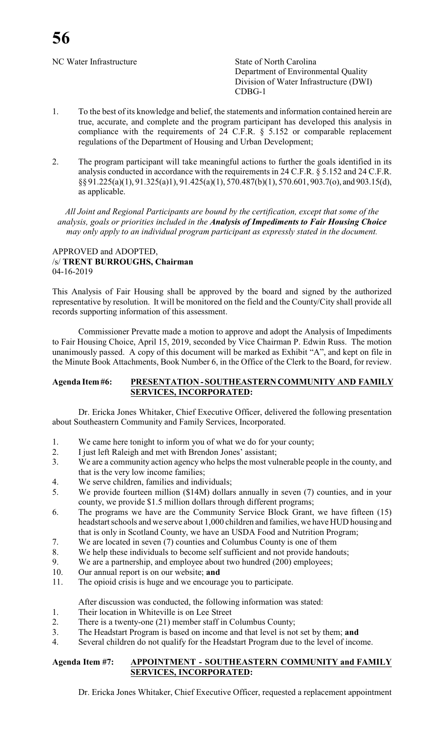NC Water Infrastructure State of North Carolina

Department of Environmental Quality Division of Water Infrastructure (DWI) CDBG-1

- 1. To the best of its knowledge and belief, the statements and information contained herein are true, accurate, and complete and the program participant has developed this analysis in compliance with the requirements of  $24$  C.F.R.  $\frac{1}{9}$  5.152 or comparable replacement regulations of the Department of Housing and Urban Development;
- 2. The program participant will take meaningful actions to further the goals identified in its analysis conducted in accordance with the requirements in 24 C.F.R. § 5.152 and 24 C.F.R. §§ 91.225(a)(1), 91.325(a)1), 91.425(a)(1), 570.487(b)(1), 570.601, 903.7(o), and 903.15(d), as applicable.

*All Joint and Regional Participants are bound by the certification, except that some of the analysis, goals or priorities included in the Analysis of Impediments to Fair Housing Choice may only apply to an individual program participant as expressly stated in the document.*

#### APPROVED and ADOPTED, /s/ **TRENT BURROUGHS, Chairman** 04-16-2019

This Analysis of Fair Housing shall be approved by the board and signed by the authorized representative by resolution. It will be monitored on the field and the County/City shall provide all records supporting information of this assessment.

Commissioner Prevatte made a motion to approve and adopt the Analysis of Impediments to Fair Housing Choice, April 15, 2019, seconded by Vice Chairman P. Edwin Russ. The motion unanimously passed. A copy of this document will be marked as Exhibit "A", and kept on file in the Minute Book Attachments, Book Number 6, in the Office of the Clerk to the Board, for review.

### **Agenda Item #6: PRESENTATION - SOUTHEASTERN COMMUNITY AND FAMILY SERVICES, INCORPORATED:**

Dr. Ericka Jones Whitaker, Chief Executive Officer, delivered the following presentation about Southeastern Community and Family Services, Incorporated.

- 1. We came here tonight to inform you of what we do for your county;
- 2. I just left Raleigh and met with Brendon Jones' assistant;
- 3. We are a community action agency who helps the most vulnerable people in the county, and that is the very low income families;
- 4. We serve children, families and individuals;<br>5. We provide fourteen million (\$14M) dollars
- We provide fourteen million (\$14M) dollars annually in seven (7) counties, and in your county, we provide \$1.5 million dollars through different programs;
- 6. The programs we have are the Community Service Block Grant, we have fifteen (15) headstart schools and we serve about 1,000 children and families, we have HUD housing and that is only in Scotland County, we have an USDA Food and Nutrition Program;
- 7. We are located in seven (7) counties and Columbus County is one of them
- 8. We help these individuals to become self sufficient and not provide handouts;
- 9. We are a partnership, and employee about two hundred (200) employees;
- 10. Our annual report is on our website; **and**
- 11. The opioid crisis is huge and we encourage you to participate.

After discussion was conducted, the following information was stated:

- 1. Their location in Whiteville is on Lee Street
- 2. There is a twenty-one (21) member staff in Columbus County;
- 3. The Headstart Program is based on income and that level is not set by them; **and**
- 4. Several children do not qualify for the Headstart Program due to the level of income.

### **Agenda Item #7: APPOINTMENT - SOUTHEASTERN COMMUNITY and FAMILY SERVICES, INCORPORATED:**

Dr. Ericka Jones Whitaker, Chief Executive Officer, requested a replacement appointment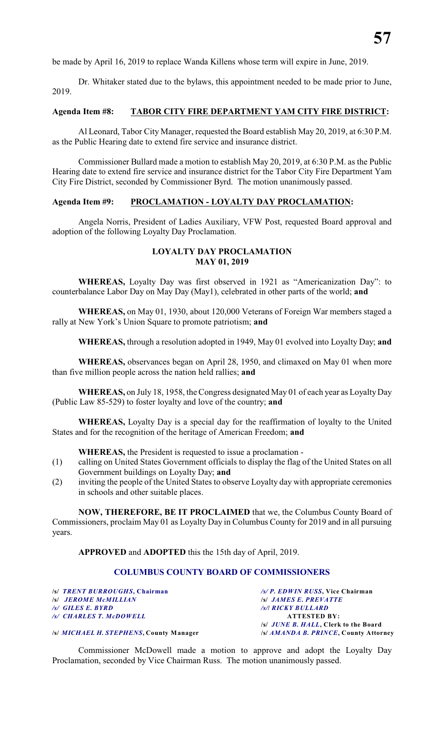be made by April 16, 2019 to replace Wanda Killens whose term will expire in June, 2019.

Dr. Whitaker stated due to the bylaws, this appointment needed to be made prior to June, 2019.

#### **Agenda Item #8: TABOR CITY FIRE DEPARTMENT YAM CITY FIRE DISTRICT:**

Al Leonard, Tabor City Manager, requested the Board establish May 20, 2019, at 6:30 P.M. as the Public Hearing date to extend fire service and insurance district.

Commissioner Bullard made a motion to establish May 20, 2019, at 6:30 P.M. as the Public Hearing date to extend fire service and insurance district for the Tabor City Fire Department Yam City Fire District, seconded by Commissioner Byrd. The motion unanimously passed.

### **Agenda Item #9: PROCLAMATION - LOYALTY DAY PROCLAMATION:**

Angela Norris, President of Ladies Auxiliary, VFW Post, requested Board approval and adoption of the following Loyalty Day Proclamation.

### **LOYALTY DAY PROCLAMATION MAY 01, 2019**

**WHEREAS,** Loyalty Day was first observed in 1921 as "Americanization Day": to counterbalance Labor Day on May Day (May1), celebrated in other parts of the world; **and**

**WHEREAS,** on May 01, 1930, about 120,000 Veterans of Foreign War members staged a rally at New York's Union Square to promote patriotism; **and**

**WHEREAS,** through a resolution adopted in 1949, May 01 evolved into Loyalty Day; **and**

**WHEREAS,** observances began on April 28, 1950, and climaxed on May 01 when more than five million people across the nation held rallies; **and**

**WHEREAS,** on July 18, 1958, the Congress designated May 01 of each year as Loyalty Day (Public Law 85-529) to foster loyalty and love of the country; **and**

**WHEREAS,** Loyalty Day is a special day for the reaffirmation of loyalty to the United States and for the recognition of the heritage of American Freedom; **and**

**WHEREAS,** the President is requested to issue a proclamation -

- (1) calling on United States Government officials to display the flag of the United States on all Government buildings on Loyalty Day; **and**
- (2) inviting the people of the United States to observe Loyalty day with appropriate ceremonies in schools and other suitable places.

**NOW, THEREFORE, BE IT PROCLAIMED** that we, the Columbus County Board of Commissioners, proclaim May 01 as Loyalty Day in Columbus County for 2019 and in all pursuing years.

**APPROVED** and **ADOPTED** this the 15th day of April, 2019.

### **COLUMBUS COUNTY BOARD OF COMMISSIONERS**

| /s/ TRENT BURROUGHS, Chairman           | /s/ P. EDWIN RUSS, Vice Chairman                                                                                                                                                                                                                      |
|-----------------------------------------|-------------------------------------------------------------------------------------------------------------------------------------------------------------------------------------------------------------------------------------------------------|
| <b>S JEROME MCMILLIAN</b>               | <b>S JAMES E. PREVATTE</b>                                                                                                                                                                                                                            |
| $\sqrt{s}$ GILES E. BYRD                | /s/  RICKY BULLARD                                                                                                                                                                                                                                    |
| /s/ CHARLES T. McDOWELL                 | <b>ATTESTED BY:</b>                                                                                                                                                                                                                                   |
|                                         | /s/ <i>JUNE B. HALL</i> . Clerk to the Board                                                                                                                                                                                                          |
| LI MICH ARI II CERDIIRMO Canada Managar | $1.1$ $\pm 1.1$ $\pm 1.1$ $\pm 1.1$ $\pm 1.1$ $\pm 1.1$ $\pm 1.1$ $\pm 1.1$ $\pm 1.1$ $\pm 1.1$ $\pm 1.1$ $\pm 1.1$ $\pm 1.1$ $\pm 1.1$ $\pm 1.1$ $\pm 1.1$ $\pm 1.1$ $\pm 1.1$ $\pm 1.1$ $\pm 1.1$ $\pm 1.1$ $\pm 1.1$ $\pm 1.1$ $\pm 1.1$ $\pm 1.1$ |

**/s/** *MICHAEL H. STEPHENS***, County Manager /s/** *AMANDA B. PRINCE***, County Attorney**

Commissioner McDowell made a motion to approve and adopt the Loyalty Day Proclamation, seconded by Vice Chairman Russ. The motion unanimously passed.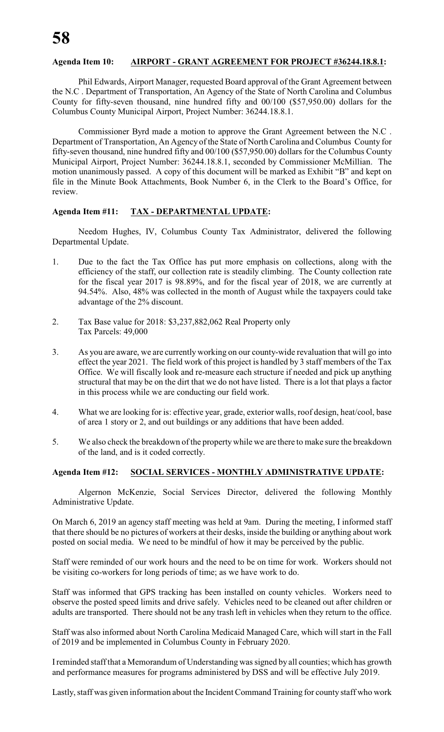#### **Agenda Item 10: AIRPORT - GRANT AGREEMENT FOR PROJECT #36244.18.8.1:**

Phil Edwards, Airport Manager, requested Board approval of the Grant Agreement between the N.C . Department of Transportation, An Agency of the State of North Carolina and Columbus County for fifty-seven thousand, nine hundred fifty and 00/100 (\$57,950.00) dollars for the Columbus County Municipal Airport, Project Number: 36244.18.8.1.

Commissioner Byrd made a motion to approve the Grant Agreement between the N.C . Department of Transportation, An Agency of the State of North Carolina and Columbus County for fifty-seven thousand, nine hundred fifty and 00/100 (\$57,950.00) dollars for the Columbus County Municipal Airport, Project Number: 36244.18.8.1, seconded by Commissioner McMillian. The motion unanimously passed. A copy of this document will be marked as Exhibit "B" and kept on file in the Minute Book Attachments, Book Number 6, in the Clerk to the Board's Office, for review.

### **Agenda Item #11: TAX - DEPARTMENTAL UPDATE:**

Needom Hughes, IV, Columbus County Tax Administrator, delivered the following Departmental Update.

- 1. Due to the fact the Tax Office has put more emphasis on collections, along with the efficiency of the staff, our collection rate is steadily climbing. The County collection rate for the fiscal year 2017 is 98.89%, and for the fiscal year of 2018, we are currently at 94.54%. Also, 48% was collected in the month of August while the taxpayers could take advantage of the 2% discount.
- 2. Tax Base value for 2018: \$3,237,882,062 Real Property only Tax Parcels: 49,000
- 3. As you are aware, we are currently working on our county-wide revaluation that will go into effect the year 2021. The field work of this project is handled by 3 staff members of the Tax Office. We will fiscally look and re-measure each structure if needed and pick up anything structural that may be on the dirt that we do not have listed. There is a lot that plays a factor in this process while we are conducting our field work.
- 4. What we are looking for is: effective year, grade, exterior walls, roof design, heat/cool, base of area 1 story or 2, and out buildings or any additions that have been added.
- 5. We also check the breakdown of the propertywhile we are there to make sure the breakdown of the land, and is it coded correctly.

### **Agenda Item #12: SOCIAL SERVICES - MONTHLY ADMINISTRATIVE UPDATE:**

Algernon McKenzie, Social Services Director, delivered the following Monthly Administrative Update.

On March 6, 2019 an agency staff meeting was held at 9am. During the meeting, I informed staff that there should be no pictures of workers at their desks, inside the building or anything about work posted on social media. We need to be mindful of how it may be perceived by the public.

Staff were reminded of our work hours and the need to be on time for work. Workers should not be visiting co-workers for long periods of time; as we have work to do.

Staff was informed that GPS tracking has been installed on county vehicles. Workers need to observe the posted speed limits and drive safely. Vehicles need to be cleaned out after children or adults are transported. There should not be any trash left in vehicles when they return to the office.

Staff was also informed about North Carolina Medicaid Managed Care, which will start in the Fall of 2019 and be implemented in Columbus County in February 2020.

I reminded staff that a Memorandum of Understanding was signed by all counties; which has growth and performance measures for programs administered by DSS and will be effective July 2019.

Lastly, staff was given information about the Incident Command Training for county staff who work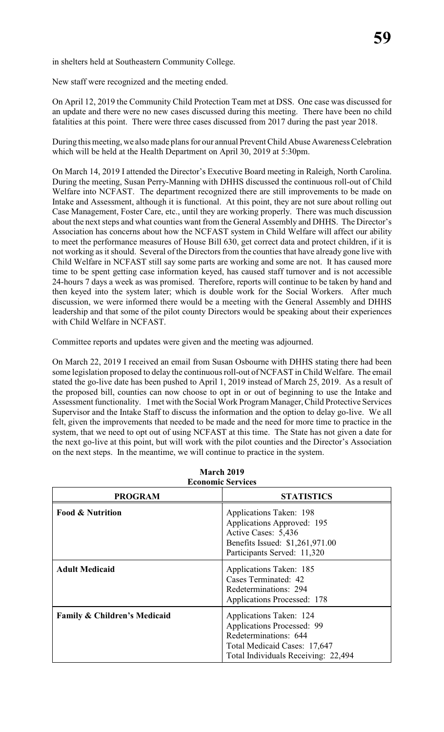in shelters held at Southeastern Community College.

New staff were recognized and the meeting ended.

On April 12, 2019 the Community Child Protection Team met at DSS. One case was discussed for an update and there were no new cases discussed during this meeting. There have been no child fatalities at this point. There were three cases discussed from 2017 during the past year 2018.

During this meeting, we also made plans for our annual Prevent Child Abuse Awareness Celebration which will be held at the Health Department on April 30, 2019 at 5:30pm.

On March 14, 2019 I attended the Director's Executive Board meeting in Raleigh, North Carolina. During the meeting, Susan Perry-Manning with DHHS discussed the continuous roll-out of Child Welfare into NCFAST. The department recognized there are still improvements to be made on Intake and Assessment, although it is functional. At this point, they are not sure about rolling out Case Management, Foster Care, etc., until they are working properly. There was much discussion about the next steps and what counties want from the General Assembly and DHHS. The Director's Association has concerns about how the NCFAST system in Child Welfare will affect our ability to meet the performance measures of House Bill 630, get correct data and protect children, if it is not working as it should. Several of the Directors from the counties that have already gone live with Child Welfare in NCFAST still say some parts are working and some are not. It has caused more time to be spent getting case information keyed, has caused staff turnover and is not accessible 24-hours 7 days a week as was promised. Therefore, reports will continue to be taken by hand and then keyed into the system later; which is double work for the Social Workers. After much discussion, we were informed there would be a meeting with the General Assembly and DHHS leadership and that some of the pilot county Directors would be speaking about their experiences with Child Welfare in NCFAST.

Committee reports and updates were given and the meeting was adjourned.

On March 22, 2019 I received an email from Susan Osbourne with DHHS stating there had been some legislation proposed to delay the continuous roll-out of NCFAST in Child Welfare. The email stated the go-live date has been pushed to April 1, 2019 instead of March 25, 2019. As a result of the proposed bill, counties can now choose to opt in or out of beginning to use the Intake and Assessment functionality. I met with the Social Work Program Manager, Child Protective Services Supervisor and the Intake Staff to discuss the information and the option to delay go-live. We all felt, given the improvements that needed to be made and the need for more time to practice in the system, that we need to opt out of using NCFAST at this time. The State has not given a date for the next go-live at this point, but will work with the pilot counties and the Director's Association on the next steps. In the meantime, we will continue to practice in the system.

| <b>Economic Services</b>                |                                                                                                                                                              |  |  |  |
|-----------------------------------------|--------------------------------------------------------------------------------------------------------------------------------------------------------------|--|--|--|
| <b>PROGRAM</b>                          | <b>STATISTICS</b>                                                                                                                                            |  |  |  |
| <b>Food &amp; Nutrition</b>             | Applications Taken: 198<br>Applications Approved: 195<br>Active Cases: 5,436<br>Benefits Issued: \$1,261,971.00<br>Participants Served: 11,320               |  |  |  |
| <b>Adult Medicaid</b>                   | Applications Taken: 185<br>Cases Terminated: 42<br>Redeterminations: 294<br><b>Applications Processed: 178</b>                                               |  |  |  |
| <b>Family &amp; Children's Medicaid</b> | Applications Taken: 124<br><b>Applications Processed: 99</b><br>Redeterminations: 644<br>Total Medicaid Cases: 17,647<br>Total Individuals Receiving: 22,494 |  |  |  |

**March 2019**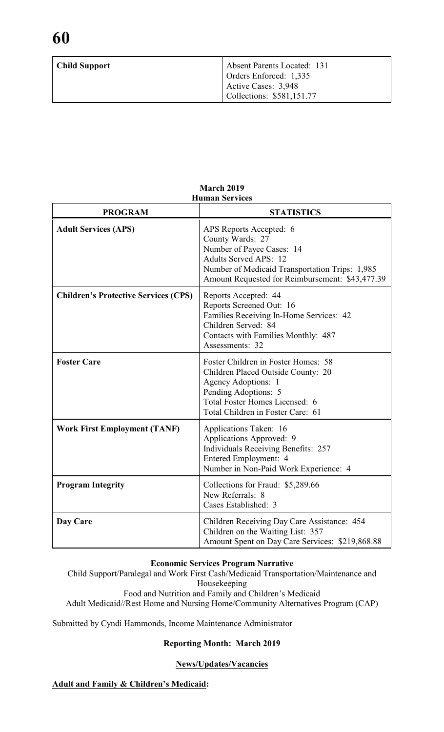| <b>Child Support</b> | Absent Parents Located: 131                                                |  |
|----------------------|----------------------------------------------------------------------------|--|
|                      | Orders Enforced: 1,335<br>Active Cases: 3,948<br>Collections: \$581,151.77 |  |

| <b>PROGRAM</b>                              | <b>STATISTICS</b>                                                                                                                                                                                             |
|---------------------------------------------|---------------------------------------------------------------------------------------------------------------------------------------------------------------------------------------------------------------|
| <b>Adult Services (APS)</b>                 | APS Reports Accepted: 6<br>County Wards: 27<br>Number of Payee Cases: 14<br><b>Adults Served APS: 12</b><br>Number of Medicaid Transportation Trips: 1,985<br>Amount Requested for Reimbursement: \$43,477.39 |
| <b>Children's Protective Services (CPS)</b> | Reports Accepted: 44<br>Reports Screened Out: 16<br>Families Receiving In-Home Services: 42<br>Children Served: 84<br>Contacts with Families Monthly: 487<br>Assessments: 32                                  |
| <b>Foster Care</b>                          | Foster Children in Foster Homes: 58<br>Children Placed Outside County: 20<br>Agency Adoptions: 1<br>Pending Adoptions: 5<br>Total Foster Homes Licensed: 6<br>Total Children in Foster Care: 61               |
| <b>Work First Employment (TANF)</b>         | Applications Taken: 16<br>Applications Approved: 9<br><b>Individuals Receiving Benefits: 257</b><br>Entered Employment: 4<br>Number in Non-Paid Work Experience: 4                                            |
| <b>Program Integrity</b>                    | Collections for Fraud: \$5,289.66<br>New Referrals: 8<br>Cases Established: 3                                                                                                                                 |
| Day Care                                    | Children Receiving Day Care Assistance: 454<br>Children on the Waiting List: 357<br>Amount Spent on Day Care Services: \$219,868.88                                                                           |

#### **March 2019 Human Services**

#### **Economic Services Program Narrative**

Child Support/Paralegal and Work First Cash/Medicaid Transportation/Maintenance and Housekeeping Food and Nutrition and Family and Children's Medicaid Adult Medicaid//Rest Home and Nursing Home/Community Alternatives Program (CAP)

Submitted by Cyndi Hammonds, Income Maintenance Administrator

### **Reporting Month: March 2019**

#### **News/Updates/Vacancies**

# **Adult and Family & Children's Medicaid:**

**60**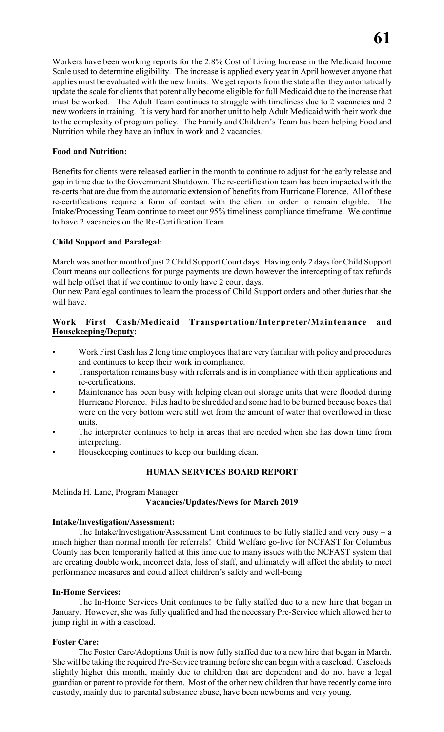Workers have been working reports for the 2.8% Cost of Living Increase in the Medicaid Income Scale used to determine eligibility. The increase is applied every year in April however anyone that applies must be evaluated with the new limits. We get reports from the state after they automatically update the scale for clients that potentially become eligible for full Medicaid due to the increase that must be worked. The Adult Team continues to struggle with timeliness due to 2 vacancies and 2 new workers in training. It is very hard for another unit to help Adult Medicaid with their work due to the complexity of program policy. The Family and Children's Team has been helping Food and Nutrition while they have an influx in work and 2 vacancies.

# **Food and Nutrition:**

Benefits for clients were released earlier in the month to continue to adjust for the early release and gap in time due to the Government Shutdown. The re-certification team has been impacted with the re-certs that are due from the automatic extension of benefits from Hurricane Florence. All of these re-certifications require a form of contact with the client in order to remain eligible. The Intake/Processing Team continue to meet our 95% timeliness compliance timeframe. We continue to have 2 vacancies on the Re-Certification Team.

# **Child Support and Paralegal:**

March was another month of just 2 Child Support Court days. Having only 2 days for Child Support Court means our collections for purge payments are down however the intercepting of tax refunds will help offset that if we continue to only have 2 court days.

Our new Paralegal continues to learn the process of Child Support orders and other duties that she will have.

# **Work First Cash/Medicaid Transportation/Interpreter/Maintenance and Housekeeping/Deputy:**

- Work First Cash has 2 long time employees that are very familiar with policy and procedures and continues to keep their work in compliance.
- Transportation remains busy with referrals and is in compliance with their applications and re-certifications.
- Maintenance has been busy with helping clean out storage units that were flooded during Hurricane Florence. Files had to be shredded and some had to be burned because boxes that were on the very bottom were still wet from the amount of water that overflowed in these units.
- The interpreter continues to help in areas that are needed when she has down time from interpreting.
- Housekeeping continues to keep our building clean.

### **HUMAN SERVICES BOARD REPORT**

# Melinda H. Lane, Program Manager **Vacancies/Updates/News for March 2019**

### **Intake/Investigation/Assessment:**

The Intake/Investigation/Assessment Unit continues to be fully staffed and very busy  $- a$ much higher than normal month for referrals! Child Welfare go-live for NCFAST for Columbus County has been temporarily halted at this time due to many issues with the NCFAST system that are creating double work, incorrect data, loss of staff, and ultimately will affect the ability to meet performance measures and could affect children's safety and well-being.

### **In-Home Services:**

The In-Home Services Unit continues to be fully staffed due to a new hire that began in January. However, she was fully qualified and had the necessary Pre-Service which allowed her to jump right in with a caseload.

# **Foster Care:**

The Foster Care/Adoptions Unit is now fully staffed due to a new hire that began in March. She will be taking the required Pre-Service training before she can begin with a caseload. Caseloads slightly higher this month, mainly due to children that are dependent and do not have a legal guardian or parent to provide for them. Most of the other new children that have recently come into custody, mainly due to parental substance abuse, have been newborns and very young.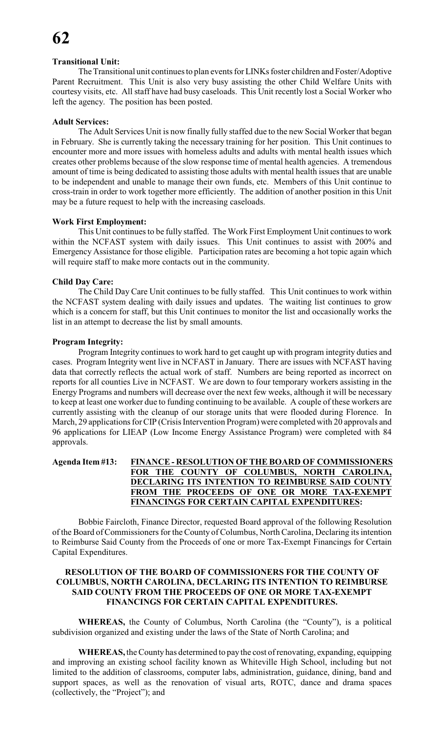#### **Transitional Unit:**

The Transitional unit continues to plan events for LINKs foster children and Foster/Adoptive Parent Recruitment. This Unit is also very busy assisting the other Child Welfare Units with courtesy visits, etc. All staff have had busy caseloads. This Unit recently lost a Social Worker who left the agency. The position has been posted.

#### **Adult Services:**

The Adult Services Unit is now finally fully staffed due to the new Social Worker that began in February. She is currently taking the necessary training for her position. This Unit continues to encounter more and more issues with homeless adults and adults with mental health issues which creates other problems because of the slow response time of mental health agencies. A tremendous amount of time is being dedicated to assisting those adults with mental health issues that are unable to be independent and unable to manage their own funds, etc. Members of this Unit continue to cross-train in order to work together more efficiently. The addition of another position in this Unit may be a future request to help with the increasing caseloads.

#### **Work First Employment:**

This Unit continues to be fully staffed. The Work First Employment Unit continues to work within the NCFAST system with daily issues. This Unit continues to assist with 200% and Emergency Assistance for those eligible. Participation rates are becoming a hot topic again which will require staff to make more contacts out in the community.

#### **Child Day Care:**

The Child Day Care Unit continues to be fully staffed. This Unit continues to work within the NCFAST system dealing with daily issues and updates. The waiting list continues to grow which is a concern for staff, but this Unit continues to monitor the list and occasionally works the list in an attempt to decrease the list by small amounts.

#### **Program Integrity:**

Program Integrity continues to work hard to get caught up with program integrity duties and cases. Program Integrity went live in NCFAST in January. There are issues with NCFAST having data that correctly reflects the actual work of staff. Numbers are being reported as incorrect on reports for all counties Live in NCFAST. We are down to four temporary workers assisting in the Energy Programs and numbers will decrease over the next few weeks, although it will be necessary to keep at least one worker due to funding continuing to be available. A couple of these workers are currently assisting with the cleanup of our storage units that were flooded during Florence. In March, 29 applications for CIP (Crisis Intervention Program) were completed with 20 approvals and 96 applications for LIEAP (Low Income Energy Assistance Program) were completed with 84 approvals.

# **Agenda Item #13: FINANCE - RESOLUTION OF THE BOARD OF COMMISSIONERS FOR THE COUNTY OF COLUMBUS, NORTH CAROLINA, DECLARING ITS INTENTION TO REIMBURSE SAID COUNTY FROM THE PROCEEDS OF ONE OR MORE TAX-EXEMPT FINANCINGS FOR CERTAIN CAPITAL EXPENDITURES:**

Bobbie Faircloth, Finance Director, requested Board approval of the following Resolution of the Board ofCommissioners for the County of Columbus, North Carolina, Declaring its intention to Reimburse Said County from the Proceeds of one or more Tax-Exempt Financings for Certain Capital Expenditures.

### **RESOLUTION OF THE BOARD OF COMMISSIONERS FOR THE COUNTY OF COLUMBUS, NORTH CAROLINA, DECLARING ITS INTENTION TO REIMBURSE SAID COUNTY FROM THE PROCEEDS OF ONE OR MORE TAX-EXEMPT FINANCINGS FOR CERTAIN CAPITAL EXPENDITURES.**

**WHEREAS,** the County of Columbus, North Carolina (the "County"), is a political subdivision organized and existing under the laws of the State of North Carolina; and

**WHEREAS,** the County has determined to pay the cost of renovating, expanding, equipping and improving an existing school facility known as Whiteville High School, including but not limited to the addition of classrooms, computer labs, administration, guidance, dining, band and support spaces, as well as the renovation of visual arts, ROTC, dance and drama spaces (collectively, the "Project"); and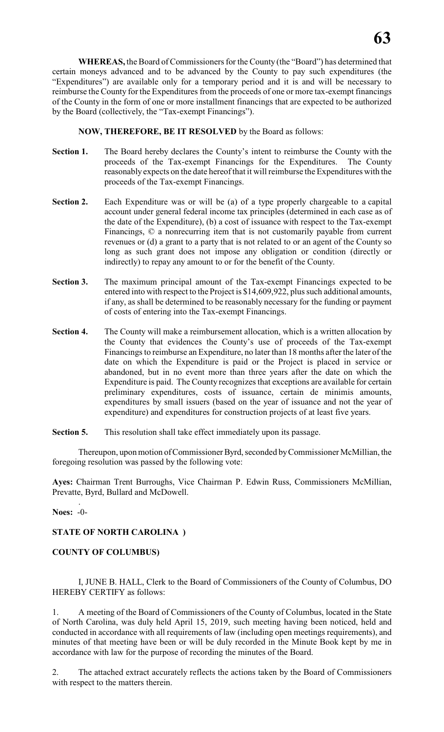**WHEREAS,** the Board of Commissioners for the County (the "Board") has determined that certain moneys advanced and to be advanced by the County to pay such expenditures (the "Expenditures") are available only for a temporary period and it is and will be necessary to reimburse the County for the Expenditures from the proceeds of one or more tax-exempt financings of the County in the form of one or more installment financings that are expected to be authorized by the Board (collectively, the "Tax-exempt Financings").

**NOW, THEREFORE, BE IT RESOLVED** by the Board as follows:

- **Section 1.** The Board hereby declares the County's intent to reimburse the County with the proceeds of the Tax-exempt Financings for the Expenditures. The County reasonably expects on the date hereof that it will reimburse the Expenditures with the proceeds of the Tax-exempt Financings.
- **Section 2.** Each Expenditure was or will be (a) of a type properly chargeable to a capital account under general federal income tax principles (determined in each case as of the date of the Expenditure), (b) a cost of issuance with respect to the Tax-exempt Financings, © a nonrecurring item that is not customarily payable from current revenues or (d) a grant to a party that is not related to or an agent of the County so long as such grant does not impose any obligation or condition (directly or indirectly) to repay any amount to or for the benefit of the County.
- **Section 3.** The maximum principal amount of the Tax-exempt Financings expected to be entered into with respect to the Project is \$14,609,922, plus such additional amounts, if any, as shall be determined to be reasonably necessary for the funding or payment of costs of entering into the Tax-exempt Financings.
- **Section 4.** The County will make a reimbursement allocation, which is a written allocation by the County that evidences the County's use of proceeds of the Tax-exempt Financings to reimburse an Expenditure, no later than 18 months after the later of the date on which the Expenditure is paid or the Project is placed in service or abandoned, but in no event more than three years after the date on which the Expenditure is paid. The County recognizes that exceptions are available for certain preliminary expenditures, costs of issuance, certain de minimis amounts, expenditures by small issuers (based on the year of issuance and not the year of expenditure) and expenditures for construction projects of at least five years.
- **Section 5.** This resolution shall take effect immediately upon its passage.

Thereupon, upon motion of Commissioner Byrd, seconded by Commissioner McMillian, the foregoing resolution was passed by the following vote:

**Ayes:** Chairman Trent Burroughs, Vice Chairman P. Edwin Russ, Commissioners McMillian, Prevatte, Byrd, Bullard and McDowell.

. **Noes:** -0-

# **STATE OF NORTH CAROLINA )**

### **COUNTY OF COLUMBUS)**

I, JUNE B. HALL, Clerk to the Board of Commissioners of the County of Columbus, DO HEREBY CERTIFY as follows:

1. A meeting of the Board of Commissioners of the County of Columbus, located in the State of North Carolina, was duly held April 15, 2019, such meeting having been noticed, held and conducted in accordance with all requirements of law (including open meetings requirements), and minutes of that meeting have been or will be duly recorded in the Minute Book kept by me in accordance with law for the purpose of recording the minutes of the Board.

2. The attached extract accurately reflects the actions taken by the Board of Commissioners with respect to the matters therein.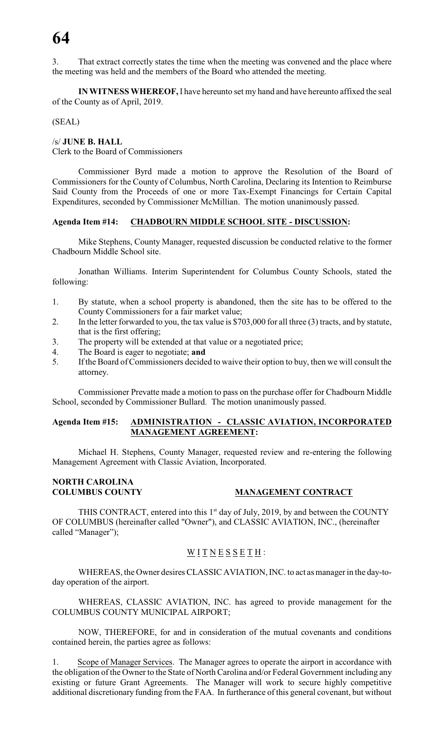3. That extract correctly states the time when the meeting was convened and the place where the meeting was held and the members of the Board who attended the meeting.

**IN WITNESS WHEREOF,** I have hereunto set my hand and have hereunto affixed the seal of the County as of April, 2019.

(SEAL)

/s/ **JUNE B. HALL**

Clerk to the Board of Commissioners

Commissioner Byrd made a motion to approve the Resolution of the Board of Commissioners for the County of Columbus, North Carolina, Declaring its Intention to Reimburse Said County from the Proceeds of one or more Tax-Exempt Financings for Certain Capital Expenditures, seconded by Commissioner McMillian. The motion unanimously passed.

#### **Agenda Item #14: CHADBOURN MIDDLE SCHOOL SITE - DISCUSSION:**

Mike Stephens, County Manager, requested discussion be conducted relative to the former Chadbourn Middle School site.

Jonathan Williams. Interim Superintendent for Columbus County Schools, stated the following:

- 1. By statute, when a school property is abandoned, then the site has to be offered to the County Commissioners for a fair market value;
- 2. In the letter forwarded to you, the tax value is \$703,000 for all three (3) tracts, and by statute, that is the first offering;
- 3. The property will be extended at that value or a negotiated price;
- 4. The Board is eager to negotiate; **and**
- 5. If the Board of Commissioners decided to waive their option to buy, then we will consult the attorney.

Commissioner Prevatte made a motion to pass on the purchase offer for Chadbourn Middle School, seconded by Commissioner Bullard. The motion unanimously passed.

### **Agenda Item #15: ADMINISTRATION - CLASSIC AVIATION, INCORPORATED MANAGEMENT AGREEMENT:**

Michael H. Stephens, County Manager, requested review and re-entering the following Management Agreement with Classic Aviation, Incorporated.

# **NORTH CAROLINA**

#### **MANAGEMENT CONTRACT**

THIS CONTRACT, entered into this  $1<sup>st</sup>$  day of July, 2019, by and between the COUNTY OF COLUMBUS (hereinafter called "Owner"), and CLASSIC AVIATION, INC., (hereinafter called "Manager");

# $\underline{W}$  <u>I T N E S S E T H</u> :

WHEREAS, the Owner desires CLASSIC AVIATION, INC. to act as manager in the day-today operation of the airport.

WHEREAS, CLASSIC AVIATION, INC. has agreed to provide management for the COLUMBUS COUNTY MUNICIPAL AIRPORT;

NOW, THEREFORE, for and in consideration of the mutual covenants and conditions contained herein, the parties agree as follows:

1. Scope of Manager Services. The Manager agrees to operate the airport in accordance with the obligation of the Owner to the State of North Carolina and/or Federal Government including any existing or future Grant Agreements. The Manager will work to secure highly competitive additional discretionary funding from the FAA. In furtherance of this general covenant, but without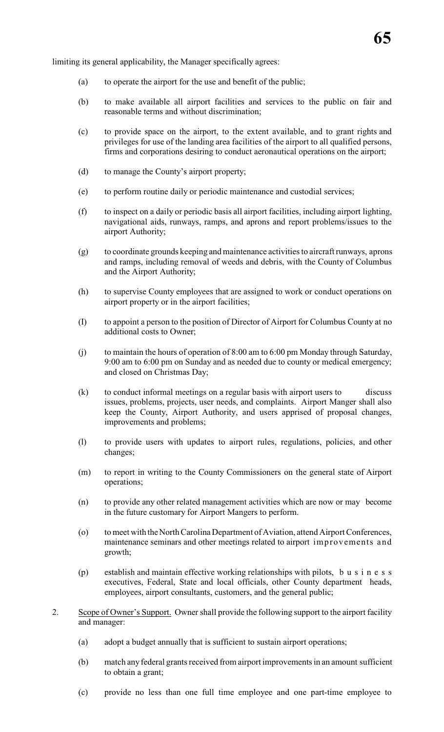limiting its general applicability, the Manager specifically agrees:

- (a) to operate the airport for the use and benefit of the public;
- (b) to make available all airport facilities and services to the public on fair and reasonable terms and without discrimination;
- (c) to provide space on the airport, to the extent available, and to grant rights and privileges for use of the landing area facilities of the airport to all qualified persons, firms and corporations desiring to conduct aeronautical operations on the airport;
- (d) to manage the County's airport property;
- (e) to perform routine daily or periodic maintenance and custodial services;
- (f) to inspect on a daily or periodic basis all airport facilities, including airport lighting, navigational aids, runways, ramps, and aprons and report problems/issues to the airport Authority;
- (g) to coordinate grounds keeping and maintenance activities to aircraft runways, aprons and ramps, including removal of weeds and debris, with the County of Columbus and the Airport Authority;
- (h) to supervise County employees that are assigned to work or conduct operations on airport property or in the airport facilities;
- (I) to appoint a person to the position of Director of Airport for Columbus County at no additional costs to Owner;
- (j) to maintain the hours of operation of 8:00 am to 6:00 pm Monday through Saturday, 9:00 am to 6:00 pm on Sunday and as needed due to county or medical emergency; and closed on Christmas Day;
- (k) to conduct informal meetings on a regular basis with airport users to discuss issues, problems, projects, user needs, and complaints. Airport Manger shall also keep the County, Airport Authority, and users apprised of proposal changes, improvements and problems;
- (l) to provide users with updates to airport rules, regulations, policies, and other changes;
- (m) to report in writing to the County Commissioners on the general state of Airport operations;
- (n) to provide any other related management activities which are now or may become in the future customary for Airport Mangers to perform.
- (o) to meet with the North Carolina Department of Aviation, attend Airport Conferences, maintenance seminars and other meetings related to airport improvements and growth;
- (p) establish and maintain effective working relationships with pilots, b u s i n e s s executives, Federal, State and local officials, other County department heads, employees, airport consultants, customers, and the general public;
- 2. Scope of Owner's Support. Owner shall provide the following support to the airport facility and manager:
	- (a) adopt a budget annually that is sufficient to sustain airport operations;
	- (b) match any federal grants received from airport improvements in an amount sufficient to obtain a grant;
	- (c) provide no less than one full time employee and one part-time employee to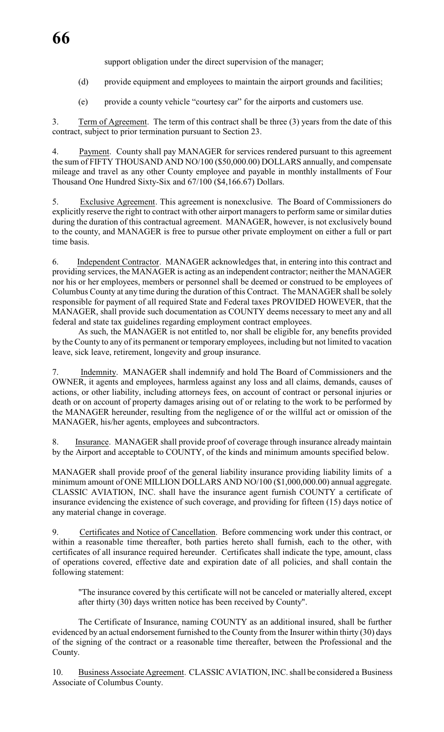support obligation under the direct supervision of the manager;

(d) provide equipment and employees to maintain the airport grounds and facilities;

(e) provide a county vehicle "courtesy car" for the airports and customers use.

3. Term of Agreement. The term of this contract shall be three (3) years from the date of this contract, subject to prior termination pursuant to Section 23.

4. Payment. County shall pay MANAGER for services rendered pursuant to this agreement the sum of FIFTY THOUSAND AND NO/100 (\$50,000.00) DOLLARS annually, and compensate mileage and travel as any other County employee and payable in monthly installments of Four Thousand One Hundred Sixty-Six and 67/100 (\$4,166.67) Dollars.

5. Exclusive Agreement. This agreement is nonexclusive. The Board of Commissioners do explicitly reserve the right to contract with other airport managers to perform same or similar duties during the duration of this contractual agreement. MANAGER, however, is not exclusively bound to the county, and MANAGER is free to pursue other private employment on either a full or part time basis.

6. Independent Contractor. MANAGER acknowledges that, in entering into this contract and providing services, the MANAGER is acting as an independent contractor; neither the MANAGER nor his or her employees, members or personnel shall be deemed or construed to be employees of Columbus County at any time during the duration of this Contract. The MANAGER shall be solely responsible for payment of all required State and Federal taxes PROVIDED HOWEVER, that the MANAGER, shall provide such documentation as COUNTY deems necessary to meet any and all federal and state tax guidelines regarding employment contract employees.

As such, the MANAGER is not entitled to, nor shall be eligible for, any benefits provided by the County to any of its permanent or temporary employees, including but not limited to vacation leave, sick leave, retirement, longevity and group insurance.

7. Indemnity. MANAGER shall indemnify and hold The Board of Commissioners and the OWNER, it agents and employees, harmless against any loss and all claims, demands, causes of actions, or other liability, including attorneys fees, on account of contract or personal injuries or death or on account of property damages arising out of or relating to the work to be performed by the MANAGER hereunder, resulting from the negligence of or the willful act or omission of the MANAGER, his/her agents, employees and subcontractors.

8. Insurance. MANAGER shall provide proof of coverage through insurance already maintain by the Airport and acceptable to COUNTY, of the kinds and minimum amounts specified below.

MANAGER shall provide proof of the general liability insurance providing liability limits of a minimum amount of ONE MILLION DOLLARS AND NO/100 (\$1,000,000.00) annual aggregate. CLASSIC AVIATION, INC. shall have the insurance agent furnish COUNTY a certificate of insurance evidencing the existence of such coverage, and providing for fifteen (15) days notice of any material change in coverage.

9. Certificates and Notice of Cancellation. Before commencing work under this contract, or within a reasonable time thereafter, both parties hereto shall furnish, each to the other, with certificates of all insurance required hereunder. Certificates shall indicate the type, amount, class of operations covered, effective date and expiration date of all policies, and shall contain the following statement:

"The insurance covered by this certificate will not be canceled or materially altered, except after thirty (30) days written notice has been received by County".

The Certificate of Insurance, naming COUNTY as an additional insured, shall be further evidenced by an actual endorsement furnished to the County from the Insurer within thirty (30) days of the signing of the contract or a reasonable time thereafter, between the Professional and the County.

10. Business Associate Agreement. CLASSIC AVIATION, INC. shall be considered a Business Associate of Columbus County.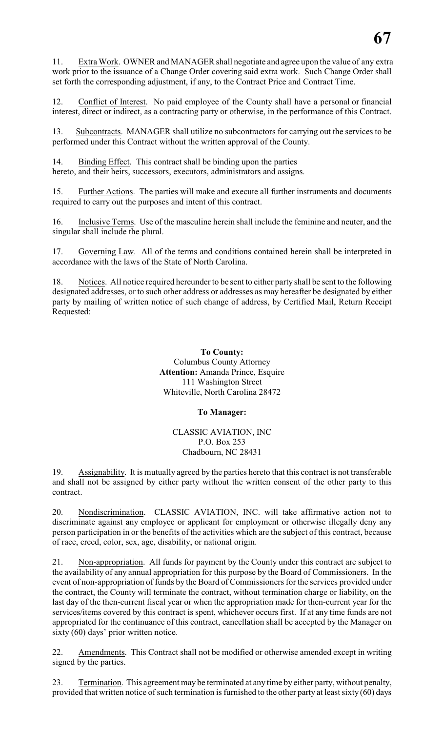11. Extra Work. OWNER and MANAGER shall negotiate and agree upon the value of any extra work prior to the issuance of a Change Order covering said extra work. Such Change Order shall set forth the corresponding adjustment, if any, to the Contract Price and Contract Time.

12. Conflict of Interest. No paid employee of the County shall have a personal or financial interest, direct or indirect, as a contracting party or otherwise, in the performance of this Contract.

13. Subcontracts. MANAGER shall utilize no subcontractors for carrying out the services to be performed under this Contract without the written approval of the County.

14. Binding Effect. This contract shall be binding upon the parties hereto, and their heirs, successors, executors, administrators and assigns.

15. Further Actions. The parties will make and execute all further instruments and documents required to carry out the purposes and intent of this contract.

16. Inclusive Terms. Use of the masculine herein shall include the feminine and neuter, and the singular shall include the plural.

17. Governing Law. All of the terms and conditions contained herein shall be interpreted in accordance with the laws of the State of North Carolina.

18. Notices. All notice required hereunder to be sent to either party shall be sent to the following designated addresses, or to such other address or addresses as may hereafter be designated by either party by mailing of written notice of such change of address, by Certified Mail, Return Receipt Requested:

> **To County:** Columbus County Attorney **Attention:** Amanda Prince, Esquire 111 Washington Street Whiteville, North Carolina 28472

### **To Manager:**

#### CLASSIC AVIATION, INC P.O. Box 253 Chadbourn, NC 28431

19. Assignability. It is mutually agreed by the parties hereto that this contract is not transferable and shall not be assigned by either party without the written consent of the other party to this contract.

20. Nondiscrimination. CLASSIC AVIATION, INC. will take affirmative action not to discriminate against any employee or applicant for employment or otherwise illegally deny any person participation in or the benefits of the activities which are the subject of this contract, because of race, creed, color, sex, age, disability, or national origin.

21. Non-appropriation. All funds for payment by the County under this contract are subject to the availability of any annual appropriation for this purpose by the Board of Commissioners. In the event of non-appropriation of funds by the Board of Commissioners for the services provided under the contract, the County will terminate the contract, without termination charge or liability, on the last day of the then-current fiscal year or when the appropriation made for then-current year for the services/items covered by this contract is spent, whichever occurs first. If at any time funds are not appropriated for the continuance of this contract, cancellation shall be accepted by the Manager on sixty (60) days' prior written notice.

22. Amendments. This Contract shall not be modified or otherwise amended except in writing signed by the parties.

23. Termination. This agreement may be terminated at any time by either party, without penalty, provided that written notice of such termination is furnished to the other party at least sixty  $(60)$  days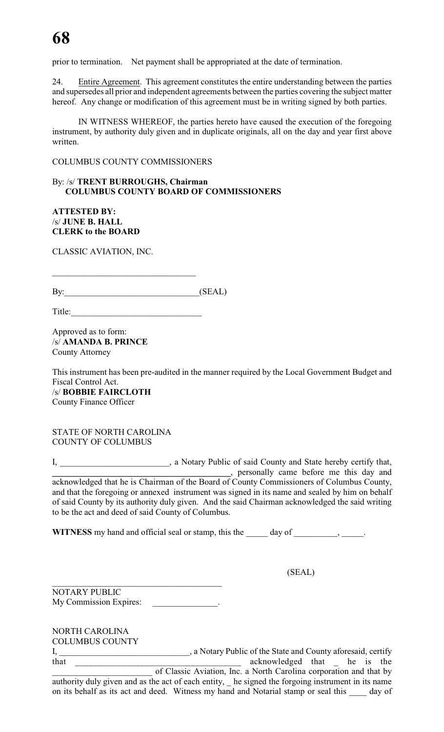prior to termination. Net payment shall be appropriated at the date of termination.

24. Entire Agreement. This agreement constitutes the entire understanding between the parties and supersedes all prior and independent agreements between the parties covering the subject matter hereof. Any change or modification of this agreement must be in writing signed by both parties.

IN WITNESS WHEREOF, the parties hereto have caused the execution of the foregoing instrument, by authority duly given and in duplicate originals, all on the day and year first above written.

COLUMBUS COUNTY COMMISSIONERS

### By: /s/ **TRENT BURROUGHS, Chairman COLUMBUS COUNTY BOARD OF COMMISSIONERS**

**ATTESTED BY:** /s/ **JUNE B. HALL CLERK to the BOARD**

CLASSIC AVIATION, INC.

| By: | (CDA)<br>. A I |
|-----|----------------|

Title:

 $\mathcal{L}_\mathcal{L}$  , where  $\mathcal{L}_\mathcal{L}$  , we have the set of the set of the set of the set of the set of the set of the set of the set of the set of the set of the set of the set of the set of the set of the set of the set

Approved as to form: /s/ **AMANDA B. PRINCE** County Attorney

This instrument has been pre-audited in the manner required by the Local Government Budget and Fiscal Control Act. /s/ **BOBBIE FAIRCLOTH** County Finance Officer

STATE OF NORTH CAROLINA COUNTY OF COLUMBUS

I, \_\_\_\_\_\_\_\_\_\_\_\_\_\_\_\_\_\_\_\_\_\_\_\_\_, a Notary Public of said County and State hereby certify that, **Example 2.1 Let us a set of the set of the set of the set of the set of the set of the set of the set of the set of the set of the set of the set of the set of the set of the set of the set of the set of the set of the** acknowledged that he is Chairman of the Board of County Commissioners of Columbus County, and that the foregoing or annexed instrument was signed in its name and sealed by him on behalf of said County by its authority duly given. And the said Chairman acknowledged the said writing to be the act and deed of said County of Columbus.

WITNESS my hand and official seal or stamp, this the \_\_\_\_\_ day of \_\_\_\_\_\_\_\_, \_\_\_\_\_.

(SEAL)

\_\_\_\_\_\_\_\_\_\_\_\_\_\_\_\_\_\_\_\_\_\_\_\_\_\_\_\_\_\_\_\_\_\_\_\_\_\_\_ NOTARY PUBLIC My Commission Expires:

NORTH CAROLINA

COLUMBUS COUNTY I, \_\_\_\_\_\_\_\_\_\_\_\_\_\_\_\_\_\_\_\_\_\_\_\_\_\_\_\_\_\_, a Notary Public of the State and County aforesaid, certify that \_\_\_\_\_\_\_\_\_\_\_\_\_\_\_\_\_\_\_\_\_\_\_\_\_\_\_\_\_\_\_\_\_\_\_\_ acknowledged that \_ he is the of Classic Aviation, Inc. a North Carolina corporation and that by authority duly given and as the act of each entity, he signed the forgoing instrument in its name on its behalf as its act and deed. Witness my hand and Notarial stamp or seal this day of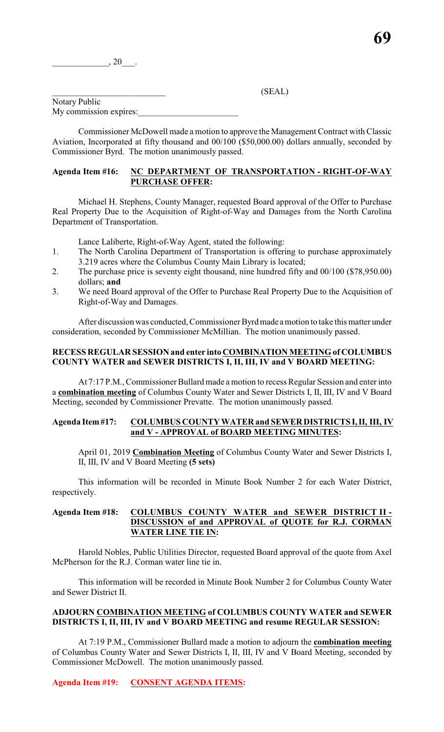#### $(SEAL)$

Notary Public My commission expires:

Commissioner McDowell made a motion to approve the Management Contract with Classic Aviation, Incorporated at fifty thousand and 00/100 (\$50,000.00) dollars annually, seconded by Commissioner Byrd. The motion unanimously passed.

#### **Agenda Item #16: NC DEPARTMENT OF TRANSPORTATION - RIGHT-OF-WAY PURCHASE OFFER:**

Michael H. Stephens, County Manager, requested Board approval of the Offer to Purchase Real Property Due to the Acquisition of Right-of-Way and Damages from the North Carolina Department of Transportation.

Lance Laliberte, Right-of-Way Agent, stated the following:

- 1. The North Carolina Department of Transportation is offering to purchase approximately 3.219 acres where the Columbus County Main Library is located;
- 2. The purchase price is seventy eight thousand, nine hundred fifty and 00/100 (\$78,950.00) dollars; **and**
- 3. We need Board approval of the Offer to Purchase Real Property Due to the Acquisition of Right-of-Way and Damages.

After discussion was conducted, Commissioner Byrd made a motion to take this matter under consideration, seconded by Commissioner McMillian. The motion unanimously passed.

#### **RECESS REGULAR SESSION and enter into COMBINATION MEETING of COLUMBUS COUNTY WATER and SEWER DISTRICTS I, II, III, IV and V BOARD MEETING:**

At 7:17 P.M.,Commissioner Bullard made a motion to recess Regular Session and enter into a **combination meeting** of Columbus County Water and Sewer Districts I, II, III, IV and V Board Meeting, seconded by Commissioner Prevatte. The motion unanimously passed.

# **Agenda Item #17: COLUMBUS COUNTY WATER and SEWER DISTRICTS I, II, III, IV and V - APPROVAL of BOARD MEETING MINUTES:**

April 01, 2019 **Combination Meeting** of Columbus County Water and Sewer Districts I, II, III, IV and V Board Meeting **(5 sets)**

This information will be recorded in Minute Book Number 2 for each Water District, respectively.

### **Agenda Item #18: COLUMBUS COUNTY WATER and SEWER DISTRICT II - DISCUSSION of and APPROVAL of QUOTE for R.J. CORMAN WATER LINE TIE IN:**

Harold Nobles, Public Utilities Director, requested Board approval of the quote from Axel McPherson for the R.J. Corman water line tie in.

This information will be recorded in Minute Book Number 2 for Columbus County Water and Sewer District II.

# **ADJOURN COMBINATION MEETING of COLUMBUS COUNTY WATER and SEWER DISTRICTS I, II, III, IV and V BOARD MEETING and resume REGULAR SESSION:**

At 7:19 P.M., Commissioner Bullard made a motion to adjourn the **combination meeting** of Columbus County Water and Sewer Districts I, II, III, IV and V Board Meeting, seconded by Commissioner McDowell. The motion unanimously passed.

### **Agenda Item #19: CONSENT AGENDA ITEMS:**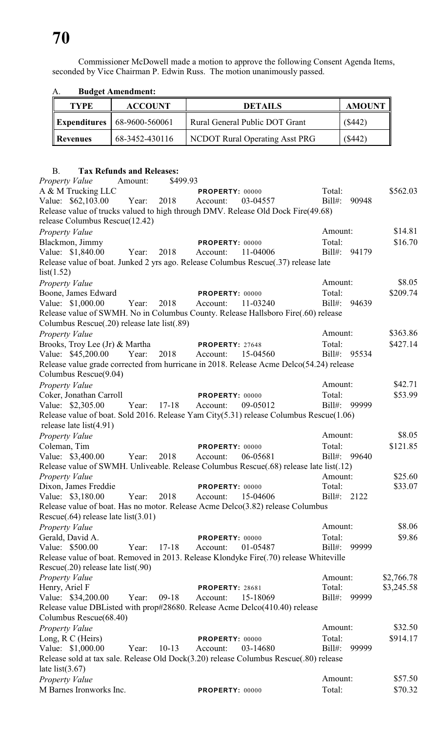Commissioner McDowell made a motion to approve the following Consent Agenda Items, seconded by Vice Chairman P. Edwin Russ. The motion unanimously passed.

| $\mathbf{\Lambda}$ | Duugti Allithullitiit.                 |                                |               |
|--------------------|----------------------------------------|--------------------------------|---------------|
| <b>TYPE</b>        | <b>ACCOUNT</b>                         | <b>DETAILS</b>                 | <b>AMOUNT</b> |
|                    | <b>Expenditures</b> $  68-9600-560061$ | Rural General Public DOT Grant | ( \$442)      |
| <b>Revenues</b>    | 68-3452-430116                         | NCDOT Rural Operating Asst PRG | ( \$442)      |

# A. **Budget Amendment:**

#### B. **Tax Refunds and Releases:**

*Property Value* Amount: \$499.93 A & M Trucking LLC **PROPERTY:** 00000 Total: \$562.03 Value: \$62,103.00 Year: 2018 Account: 03-04557 Bill#: 90948 Release value of trucks valued to high through DMV. Release Old Dock Fire(49.68) release Columbus Rescue(12.42) *Property Value* \$14.81 Blackmon, Jimmy **PROPERTY:** 00000 Total: \$16.70 Value: \$1,840.00 Year: 2018 Account: 11-04006 Bill#: 94179 Release value of boat. Junked 2 yrs ago. Release Columbus Rescue(.37) release late list(1.52) *Property Value* \$8.05 Boone, James Edward **PROPERTY:** 00000 Total: \$209.74 Value: \$1,000.00 Year: 2018 Account: 11-03240 Bill#: 94639 Release value of SWMH. No in Columbus County. Release Hallsboro Fire(.60) release Columbus Rescue(.20) release late list(.89) *Property Value* \$363.86 Brooks, Troy Lee (Jr) & Martha **PROPERTY**: 27648 Total: \$427.14 Value: \$45,200.00 Year: 2018 Account: 15-04560 Bill#: 95534 Release value grade corrected from hurricane in 2018. Release Acme Delco(54.24) release Columbus Rescue(9.04) *Property Value* \$42.71 Coker, Jonathan Carroll **PROPERTY:** 00000 Total: \$53.99 Value: \$2,305.00 Year: 17-18 Account: 09-05012 Bill#: 99999 Release value of boat. Sold 2016. Release Yam City(5.31) release Columbus Rescue(1.06) release late list(4.91) *Property Value* \$8.05 Coleman, Tim **PROPERTY:** 00000 Total: \$121.85 Value: \$3,400.00 Year: 2018 Account: 06-05681 Bill#: 99640 Release value of SWMH. Unliveable. Release Columbus Rescue(.68) release late list(.12) *Property Value* \$25.60 Dixon, James Freddie **PROPERTY:** 00000 Total: \$33.07 Value: \$3,180.00 Year: 2018 Account: 15-04606 Bill#: 2122 Release value of boat. Has no motor. Release Acme Delco(3.82) release Columbus Rescue(.64) release late list(3.01) *Property Value* \$8.06 Gerald, David A. **PROPERTY:** 00000 Total: \$9.86<br>
Value: \$500.00 Year: 17-18 Account: 01-05487 Bill#: 99999 Value: \$500.00 Year: 17-18 Account: 01-05487 Bill#: 99999 Release value of boat. Removed in 2013. Release Klondyke Fire(.70) release Whiteville Rescue(.20) release late list(.90) *Property Value* \$2,766.78 Henry, Ariel F **PROPERTY**: 28681 Total: \$3,245.58 Value: \$34,200.00 Year: 09-18 Account: 15-18069 Bill#: 99999 Release value DBListed with prop#28680. Release Acme Delco(410.40) release Columbus Rescue(68.40) *Property Value* \$32.50 Long, R C (Heirs) **PROPERTY**: 00000 Total: \$914.17 Value: \$1,000.00 Year: 10-13 Account: 03-14680 Bill#: 99999 Release sold at tax sale. Release Old Dock(3.20) release Columbus Rescue(.80) release late  $list(3.67)$ *Property Value* \$57.50 M Barnes Ironworks Inc. **PROPERTY:** 00000 Total: \$70.32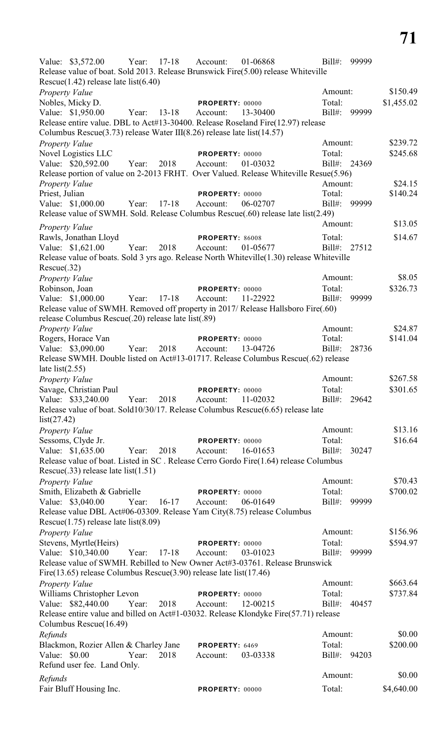Value: \$3,572.00 Year: 17-18 Account: 01-06868 Bill#: 99999 Release value of boat. Sold 2013. Release Brunswick Fire(5.00) release Whiteville Rescue(1.42) release late list(6.40) *Property Value* \$150.49 Nobles, Micky D. **PROPERTY:** 00000 Total: \$1,455.02 Value: \$1,950.00 Year: 13-18 Account: 13-30400 Bill#: 99999 Release entire value. DBL to Act#13-30400. Release Roseland Fire(12.97) release Columbus Rescue(3.73) release Water III(8.26) release late list(14.57) *Property Value* \$239.72 Novel Logistics LLC **PROPERTY:** 00000 Total: \$245.68 Value: \$20,592.00 Year: 2018 Account: 01-03032 Bill#: 24369 Release portion of value on 2-2013 FRHT. Over Valued. Release Whiteville Resue(5.96) *Property Value* \$24.15 Priest, Julian **PROPERTY:** 00000 Total: \$140.24 Value: \$1,000.00 Year: 17-18 Account: 06-02707 Bill#: 99999 Release value of SWMH. Sold. Release Columbus Rescue(.60) release late list(2.49) *Property Value* \$13.05 Rawls, Jonathan Lloyd **PROPERTY:** 86008 Total: \$14.67 Value: \$1,621.00 Year: 2018 Account: 01-05677 Bill#: 27512 Release value of boats. Sold 3 yrs ago. Release North Whiteville(1.30) release Whiteville Rescue(.32) *Property Value* \$8.05 Robinson, Joan **PROPERTY:** 00000 Total: \$326.73 Value: \$1,000.00 Year: 17-18 Account: 11-22922 Bill#: 99999 Release value of SWMH. Removed off property in 2017/ Release Hallsboro Fire(.60) release Columbus Rescue(.20) release late list(.89) *Property Value* \$24.87 Rogers, Horace Van **PROPERTY**: 00000 Total: \$141.04 Value: \$3,090.00 Year: 2018 Account: 13-04726 Bill#: 28736 Release SWMH. Double listed on Act#13-01717. Release Columbus Rescue(.62) release late  $list(2.55)$ *Property Value* \$267.58 Savage, Christian Paul **PROPERTY:** 00000 Total: \$301.65 Value: \$33,240.00 Year: 2018 Account: 11-02032 Bill#: 29642 Release value of boat. Sold10/30/17. Release Columbus Rescue(6.65) release late list(27.42) *Property Value* \$13.16 Sessoms, Clyde Jr. **PROPERTY:** 00000 Total: \$16.64 Value: \$1,635.00 Year: 2018 Account: 16-01653 Bill#: 30247 Release value of boat. Listed in SC . Release Cerro Gordo Fire(1.64) release Columbus Rescue(.33) release late list(1.51) *Property Value* \$70.43 Smith, Elizabeth & Gabrielle **PROPERTY:** 00000 Total: \$700.02 Value: \$3,040.00 Year: 16-17 Account: 06-01649 Bill#: 99999 Release value DBL Act#06-03309. Release Yam City(8.75) release Columbus Rescue(1.75) release late list(8.09) *Property Value* \$156.96 Stevens, Myrtle(Heirs) **PROPERTY:** 00000 Total: \$594.97 Value: \$10,340.00 Year: 17-18 Account: 03-01023 Bill#: 99999 Release value of SWMH. Rebilled to New Owner Act#3-03761. Release Brunswick Fire(13.65) release Columbus Rescue(3.90) release late list(17.46) *Property Value* \$663.64 Williams Christopher Levon **PROPERTY:** 00000 Total: \$737.84 Value: \$82,440.00 Year: 2018 Account: 12-00215 Bill#: 40457 Release entire value and billed on Act#1-03032. Release Klondyke Fire(57.71) release Columbus Rescue(16.49) *Refunds* \$0.00 Blackmon, Rozier Allen & Charley Jane **PROPERTY**: 6469 Total: \$200.00 Value: \$0.00 Year: 2018 Account: 03-03338 Bill#: 94203 Refund user fee. Land Only. *Refunds* \$0.00 Fair Bluff Housing Inc. **PROPERTY:** 00000 Total: \$4,640.00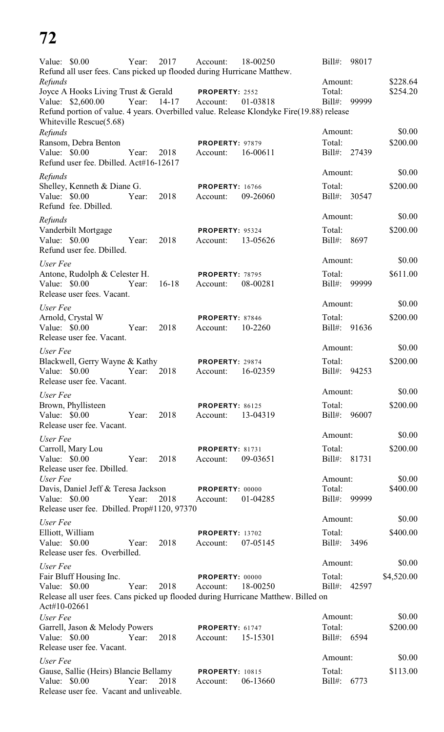# **72**

| Value: \$0.00                                                                     | Year: | 2017      | Account:                           | 18-00250                                                                                 | $Bill#$ :             | 98017        |                    |
|-----------------------------------------------------------------------------------|-------|-----------|------------------------------------|------------------------------------------------------------------------------------------|-----------------------|--------------|--------------------|
| Refund all user fees. Cans picked up flooded during Hurricane Matthew.<br>Refunds |       |           |                                    |                                                                                          | Amount:               |              | \$228.64           |
| Joyce A Hooks Living Trust & Gerald                                               |       |           | PROPERTY: 2552                     |                                                                                          | Total:                |              | \$254.20           |
| Value: \$2,600.00                                                                 | Year: | $14 - 17$ | Account:                           | 01-03818                                                                                 | $Bill#$ :             | 99999        |                    |
| Whiteville Rescue(5.68)                                                           |       |           |                                    | Refund portion of value. 4 years. Overbilled value. Release Klondyke Fire(19.88) release |                       |              |                    |
| Refunds                                                                           |       |           |                                    |                                                                                          | Amount:               |              | \$0.00             |
| Ransom, Debra Benton                                                              |       |           | PROPERTY: 97879                    |                                                                                          | Total:                |              | \$200.00           |
| Value: $$0.00$<br>Refund user fee. Dbilled. Act#16-12617                          | Year: | 2018      | Account:                           | 16-00611                                                                                 | $Bill#$ :             | 27439        |                    |
| Refunds                                                                           |       |           |                                    |                                                                                          | Amount:               |              | \$0.00             |
| Shelley, Kenneth & Diane G.                                                       |       |           | <b>PROPERTY: 16766</b>             |                                                                                          | Total:                |              | \$200.00           |
| Value: $$0.00$<br>Refund fee. Dbilled.                                            | Year: | 2018      | Account:                           | 09-26060                                                                                 | $Bill#$ :             | 30547        |                    |
| Refunds                                                                           |       |           |                                    |                                                                                          | Amount:               |              | \$0.00             |
| Vanderbilt Mortgage<br>Value: \$0.00<br>Refund user fee. Dbilled.                 | Year: | 2018      | <b>PROPERTY: 95324</b><br>Account: | 13-05626                                                                                 | Total:<br>$Bill#$ :   | 8697         | \$200.00           |
| User Fee                                                                          |       |           |                                    |                                                                                          | Amount:               |              | \$0.00             |
| Antone, Rudolph & Celester H.                                                     |       |           | <b>PROPERTY: 78795</b>             |                                                                                          | Total:                |              | \$611.00           |
| Value: $$0.00$<br>Release user fees. Vacant.                                      | Year: | $16-18$   | Account:                           | 08-00281                                                                                 | Bill#:                | 99999        |                    |
| User Fee                                                                          |       |           |                                    |                                                                                          | Amount:               |              | \$0.00             |
| Arnold, Crystal W                                                                 |       |           | PROPERTY: 87846                    |                                                                                          | Total:                |              | \$200.00           |
| Value: \$0.00<br>Release user fee. Vacant.                                        | Year: | 2018      | Account:                           | 10-2260                                                                                  | $Bill#$ :             | 91636        |                    |
| User Fee                                                                          |       |           |                                    |                                                                                          | Amount:               |              | \$0.00             |
| Blackwell, Gerry Wayne & Kathy<br>Value: \$0.00<br>Release user fee. Vacant.      | Year: | 2018      | PROPERTY: 29874<br>Account:        | 16-02359                                                                                 | Total:<br>$Bill#$ :   | 94253        | \$200.00           |
| User Fee                                                                          |       |           |                                    |                                                                                          | Amount:               |              | \$0.00             |
| Brown, Phyllisteen                                                                |       |           | PROPERTY: 86125                    |                                                                                          | Total:                |              | \$200.00           |
| Value: \$0.00<br>Release user fee. Vacant.                                        | Year: | 2018      | Account:                           | 13-04319                                                                                 |                       | Bill#: 96007 |                    |
| User Fee                                                                          |       |           |                                    |                                                                                          | Amount:               |              | \$0.00             |
| Carroll, Mary Lou                                                                 |       |           | <b>PROPERTY: 81731</b>             |                                                                                          | Total:                |              | \$200.00           |
| Value: \$0.00<br>Release user fee. Dbilled.                                       | Year: | 2018      | Account:                           | 09-03651                                                                                 |                       | Bill#: 81731 |                    |
| User Fee<br>Davis, Daniel Jeff & Teresa Jackson                                   |       |           | <b>PROPERTY: 00000</b>             |                                                                                          | Amount:<br>Total:     |              | \$0.00<br>\$400.00 |
| Value: \$0.00                                                                     | Year: | 2018      | Account:                           | 01-04285                                                                                 |                       | Bill#: 99999 |                    |
| Release user fee. Dbilled. Prop#1120, 97370                                       |       |           |                                    |                                                                                          |                       |              |                    |
| User Fee                                                                          |       |           |                                    |                                                                                          | Amount:               |              | \$0.00             |
| Elliott, William<br>Value: \$0.00                                                 | Year: | 2018      | <b>PROPERTY: 13702</b><br>Account: | 07-05145                                                                                 | Total:<br>Bill#: 3496 |              | \$400.00           |
| Release user fes. Overbilled.                                                     |       |           |                                    |                                                                                          | Amount:               |              | \$0.00             |
| User Fee<br>Fair Bluff Housing Inc.                                               |       |           | PROPERTY: 00000                    |                                                                                          | Total:                |              | \$4,520.00         |
| Value: \$0.00                                                                     | Year: | 2018      | Account:                           | 18-00250                                                                                 | $Bill#$ :             | 42597        |                    |
| Act#10-02661                                                                      |       |           |                                    | Release all user fees. Cans picked up flooded during Hurricane Matthew. Billed on        |                       |              |                    |
| User Fee                                                                          |       |           |                                    |                                                                                          | Amount:               |              | \$0.00             |
| Garrell, Jason & Melody Powers                                                    |       |           | PROPERTY: 61747                    |                                                                                          | Total:                |              | \$200.00           |
| Value: \$0.00<br>Release user fee. Vacant.                                        | Year: | 2018      | Account:                           | 15-15301                                                                                 | Bill#: 6594           |              |                    |
| User Fee                                                                          |       |           |                                    |                                                                                          | Amount:               |              | \$0.00             |
| Gause, Sallie (Heirs) Blancie Bellamy                                             |       |           | <b>PROPERTY: 10815</b>             |                                                                                          | Total:                |              | \$113.00           |
| Value: \$0.00<br>Release user fee. Vacant and unliveable.                         | Year: | 2018      | Account:                           | 06-13660                                                                                 | Bill#: 6773           |              |                    |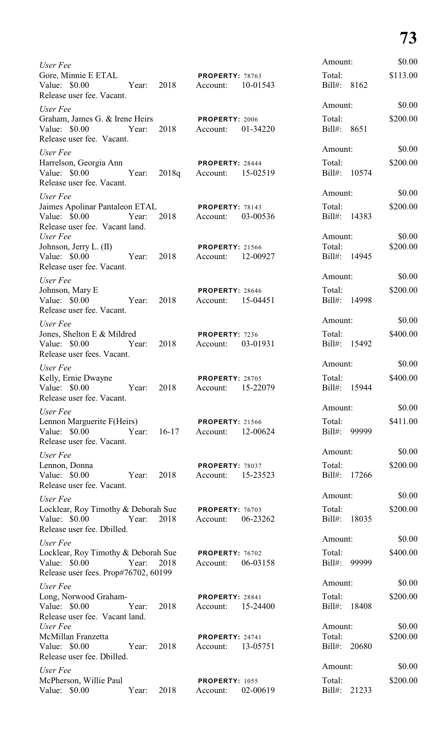# **73**

| User Fee                                                                                     |       |         |                                    |          | Amount:                        |       | \$0.00             |
|----------------------------------------------------------------------------------------------|-------|---------|------------------------------------|----------|--------------------------------|-------|--------------------|
| Gore, Minnie E ETAL<br>Value: \$0.00<br>Release user fee. Vacant.                            | Year: | 2018    | PROPERTY: 78763<br>Account:        | 10-01543 | Total:<br>Bill#:               | 8162  | \$113.00           |
| User Fee                                                                                     |       |         |                                    |          | Amount:                        |       | \$0.00             |
| Graham, James G. & Irene Heirs<br>Value: \$0.00<br>Release user fee. Vacant.                 | Year: | 2018    | PROPERTY: 2006<br>Account:         | 01-34220 | Total:<br>Bill#: 8651          |       | \$200.00           |
| User Fee                                                                                     |       |         |                                    |          | Amount:                        |       | \$0.00             |
| Harrelson, Georgia Ann<br>Value: $$0.00$<br>Release user fee. Vacant.                        | Year: | 2018q   | <b>PROPERTY: 28444</b><br>Account: | 15-02519 | Total:<br>Bill#: 10574         |       | \$200.00           |
| User Fee                                                                                     |       |         |                                    |          | Amount:                        |       | \$0.00             |
| Jaimes Apolinar Pantaleon ETAL<br>Value: \$0.00<br>Release user fee. Vacant land.            | Year: | 2018    | <b>PROPERTY: 78143</b><br>Account: | 03-00536 | Total:<br>Bill#: 14383         |       | \$200.00           |
| User Fee                                                                                     |       |         |                                    |          | Amount:                        |       | \$0.00             |
| Johnson, Jerry L. (II)<br>Value: \$0.00<br>Release user fee. Vacant.                         | Year: | 2018    | <b>PROPERTY: 21566</b><br>Account: | 12-00927 | Total:<br>Bill#: 14945         |       | \$200.00           |
| User Fee                                                                                     |       |         |                                    |          | Amount:                        |       | \$0.00             |
| Johnson, Mary E<br>Value: \$0.00<br>Release user fee. Vacant.                                | Year: | 2018    | <b>PROPERTY: 28646</b><br>Account: | 15-04451 | Total:<br>Bill#: 14998         |       | \$200.00           |
| User Fee                                                                                     |       |         |                                    |          | Amount:                        |       | \$0.00             |
| Jones, Shelton E & Mildred<br>Value: \$0.00<br>Release user fees. Vacant.                    | Year: | 2018    | PROPERTY: 7236<br>Account:         | 03-01931 | Total:<br>Bill#: 15492         |       | \$400.00           |
|                                                                                              |       |         |                                    |          | Amount:                        |       | \$0.00             |
| User Fee<br>Kelly, Ernie Dwayne<br>Value: \$0.00<br>Release user fee. Vacant.                | Year: | 2018    | <b>PROPERTY: 28705</b><br>Account: | 15-22079 | Total:<br>$Bill#$ :            | 15944 | \$400.00           |
| User Fee                                                                                     |       |         |                                    |          | Amount:                        |       | \$0.00             |
| Lennon Marguerite F(Heirs)<br>Value: \$0.00<br>Release user fee. Vacant.                     | Year: | $16-17$ | <b>PROPERTY: 21566</b><br>Account: | 12-00624 | Total:<br>Bill#:               | 99999 | \$411.00           |
| User Fee                                                                                     |       |         |                                    |          | Amount:                        |       | \$0.00             |
| Lennon, Donna<br>Value: \$0.00<br>Release user fee. Vacant.                                  | Year: | 2018    | <b>PROPERTY: 78037</b><br>Account: | 15-23523 | Total:<br>Bill#: 17266         |       | \$200.00           |
| User Fee                                                                                     |       |         |                                    |          | Amount:                        |       | \$0.00             |
| Locklear, Roy Timothy & Deborah Sue<br>Value: \$0.00<br>Release user fee. Dbilled.           | Year: | 2018    | PROPERTY: 76703<br>Account:        | 06-23262 | Total:<br>Bill#: 18035         |       | \$200.00           |
| User Fee                                                                                     |       |         |                                    |          | Amount:                        |       | \$0.00             |
| Locklear, Roy Timothy & Deborah Sue<br>Value: \$0.00<br>Release user fees. Prop#76702, 60199 | Year: | 2018    | PROPERTY: 76702<br>Account:        | 06-03158 | Total:<br>Bill#:               | 99999 | \$400.00           |
| User Fee                                                                                     |       |         |                                    |          | Amount:                        |       | \$0.00             |
| Long, Norwood Graham-<br>Value: \$0.00<br>Release user fee. Vacant land.                     | Year: | 2018    | PROPERTY: 28841<br>Account:        | 15-24400 | Total:<br>$Bill#$ :            | 18408 | \$200.00           |
| User Fee<br>McMillan Franzetta<br>Value: \$0.00<br>Release user fee. Dbilled.                | Year: | 2018    | <b>PROPERTY: 24741</b><br>Account: | 13-05751 | Amount:<br>Total:<br>$Bill#$ : | 20680 | \$0.00<br>\$200.00 |
| User Fee                                                                                     |       |         |                                    |          | Amount:                        |       | \$0.00             |
| McPherson, Willie Paul<br>Value: \$0.00                                                      | Year: | 2018    | <b>PROPERTY: 1055</b><br>Account:  | 02-00619 | Total:<br>$Bill#$ :            | 21233 | \$200.00           |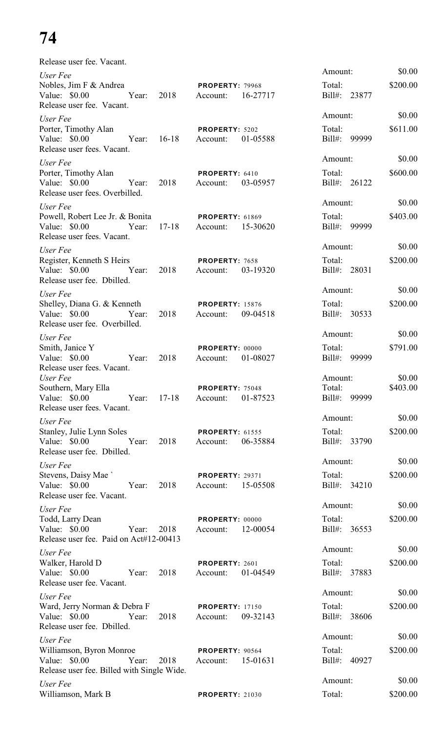# **74**

Release user fee. Vacant.

| User Fee                                                                                                             |                                                | Amount:                                 | \$0.00             |
|----------------------------------------------------------------------------------------------------------------------|------------------------------------------------|-----------------------------------------|--------------------|
| Nobles, Jim F & Andrea<br>Value: \$0.00<br>2018<br>Year:<br>Release user fee. Vacant.                                | PROPERTY: 79968<br>16-27717<br>Account:        | Total:<br>Bill#: 23877                  | \$200.00           |
| User Fee                                                                                                             |                                                | Amount:                                 | \$0.00             |
| Porter, Timothy Alan<br>$16-18$<br>Value: \$0.00 Year:<br>Release user fees. Vacant.                                 | PROPERTY: 5202<br>01-05588<br>Account:         | Total:<br>Bill#:<br>99999               | \$611.00           |
| User Fee                                                                                                             |                                                | Amount:                                 | \$0.00             |
| Porter, Timothy Alan<br>Value: \$0.00 Year:<br>2018<br>Release user fees. Overbilled.                                | PROPERTY: 6410<br>Account:<br>03-05957         | Total:<br>Bill#: 26122                  | \$600.00           |
| User Fee                                                                                                             |                                                | Amount:                                 | \$0.00             |
| Powell, Robert Lee Jr. & Bonita<br>$17 - 18$<br>Value: \$0.00<br>Year:<br>Release user fees. Vacant.                 | <b>PROPERTY: 61869</b><br>Account:<br>15-30620 | Total:<br>Bill#:<br>99999               | \$403.00           |
| User Fee                                                                                                             |                                                | Amount:                                 | \$0.00             |
| Register, Kenneth S Heirs<br>2018<br>Value: \$0.00<br>Year:<br>Release user fee. Dbilled.                            | PROPERTY: 7658<br>03-19320<br>Account:         | Total:<br>Bill#: 28031                  | \$200.00           |
| User Fee                                                                                                             |                                                | Amount:                                 | \$0.00             |
| Shelley, Diana G. & Kenneth<br>Value: \$0.00<br>2018<br>Year:<br>Release user fee. Overbilled.                       | <b>PROPERTY: 15876</b><br>09-04518<br>Account: | Total:<br>Bill#: 30533                  | \$200.00           |
| User Fee                                                                                                             |                                                | Amount:                                 | \$0.00             |
| Smith, Janice Y<br>2018<br>Value: \$0.00<br>Year:<br>Release user fees. Vacant.                                      | PROPERTY: 00000<br>01-08027<br>Account:        | Total:<br>Bill#: 99999                  | \$791.00           |
| User Fee<br>Southern, Mary Ella<br>Value: \$0.00<br>$17 - 18$<br>Year:                                               | PROPERTY: 75048<br>01-87523<br>Account:        | Amount:<br>Total:<br>99999<br>$Bill#$ : | \$0.00<br>\$403.00 |
| Release user fees. Vacant.                                                                                           |                                                |                                         |                    |
| User Fee                                                                                                             |                                                | Amount:                                 | \$0.00             |
| Stanley, Julie Lynn Soles<br>Value: $$0.00$<br>2018<br>Year:<br>Release user fee. Dbilled.                           | <b>PROPERTY: 61555</b><br>06-35884<br>Account: | Total:<br>Bill#: 33790                  | \$200.00           |
| User Fee                                                                                                             |                                                | Amount:                                 | \$0.00             |
| Stevens, Daisy Mae<br>Value: \$0.00 Year:<br>2018<br>Release user fee. Vacant.                                       | <b>PROPERTY: 29371</b><br>15-05508<br>Account: | Total:<br>Bill#: 34210                  | \$200.00           |
| User Fee                                                                                                             |                                                | Amount:                                 | \$0.00             |
| Todd, Larry Dean<br>Value: \$0.00<br>Year:<br>2018<br>Release user fee. Paid on Act#12-00413                         | PROPERTY: 00000<br>12-00054<br>Account:        | Total:<br>Bill#: 36553                  | \$200.00           |
| User Fee                                                                                                             |                                                | Amount:                                 | \$0.00             |
| Walker, Harold D<br>Value: \$0.00<br>2018<br>Year:<br>Release user fee. Vacant.                                      | PROPERTY: 2601<br>01-04549<br>Account:         | Total:<br>Bill#: 37883                  | \$200.00           |
| User Fee                                                                                                             |                                                | Amount:                                 | \$0.00             |
| Ward, Jerry Norman & Debra F<br>Value: \$0.00<br>2018<br>Year:                                                       | <b>PROPERTY: 17150</b><br>09-32143<br>Account: | Total:<br>Bill#: 38606                  | \$200.00           |
| Release user fee. Dbilled.                                                                                           |                                                | Amount:                                 | \$0.00             |
| User Fee<br>Williamson, Byron Monroe<br>Value: \$0.00<br>Year:<br>2018<br>Release user fee. Billed with Single Wide. | PROPERTY: 90564<br>15-01631<br>Account:        | Total:<br>Bill#: 40927                  | \$200.00           |
| User Fee                                                                                                             |                                                | Amount:                                 | \$0.00             |
| Williamson, Mark B                                                                                                   | <b>PROPERTY: 21030</b>                         | Total:                                  | \$200.00           |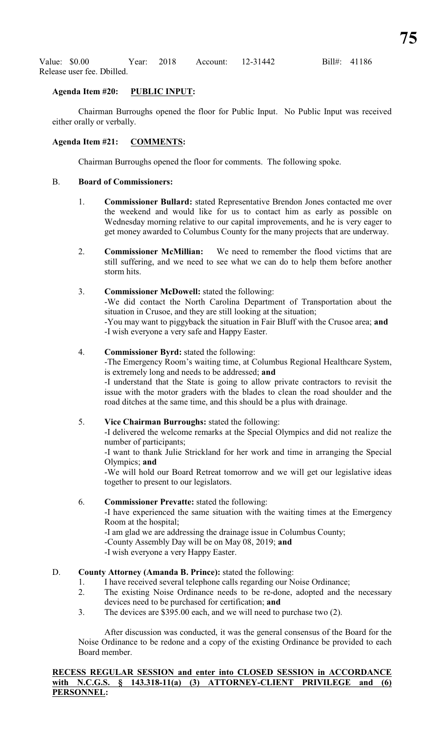Value: \$0.00 Year: 2018 Account: 12-31442 Bill#: 41186 Release user fee. Dbilled.

### **Agenda Item #20: PUBLIC INPUT:**

Chairman Burroughs opened the floor for Public Input. No Public Input was received either orally or verbally.

### **Agenda Item #21: COMMENTS:**

Chairman Burroughs opened the floor for comments. The following spoke.

#### B. **Board of Commissioners:**

- 1. **Commissioner Bullard:** stated Representative Brendon Jones contacted me over the weekend and would like for us to contact him as early as possible on Wednesday morning relative to our capital improvements, and he is very eager to get money awarded to Columbus County for the many projects that are underway.
- 2. **Commissioner McMillian:** We need to remember the flood victims that are still suffering, and we need to see what we can do to help them before another storm hits.
- 3. **Commissioner McDowell:** stated the following: -We did contact the North Carolina Department of Transportation about the situation in Crusoe, and they are still looking at the situation; -You may want to piggyback the situation in Fair Bluff with the Crusoe area; **and** -I wish everyone a very safe and Happy Easter.

### 4. **Commissioner Byrd:** stated the following:

-The Emergency Room's waiting time, at Columbus Regional Healthcare System, is extremely long and needs to be addressed; **and**

-I understand that the State is going to allow private contractors to revisit the issue with the motor graders with the blades to clean the road shoulder and the road ditches at the same time, and this should be a plus with drainage.

### 5. **Vice Chairman Burroughs:** stated the following:

-I delivered the welcome remarks at the Special Olympics and did not realize the number of participants;

-I want to thank Julie Strickland for her work and time in arranging the Special Olympics; **and**

-We will hold our Board Retreat tomorrow and we will get our legislative ideas together to present to our legislators.

### 6. **Commissioner Prevatte:** stated the following:

-I have experienced the same situation with the waiting times at the Emergency Room at the hospital;

-I am glad we are addressing the drainage issue in Columbus County;

-County Assembly Day will be on May 08, 2019; **and**

-I wish everyone a very Happy Easter.

# D. **County Attorney (Amanda B. Prince):** stated the following:

- 1. I have received several telephone calls regarding our Noise Ordinance;
- 2. The existing Noise Ordinance needs to be re-done, adopted and the necessary devices need to be purchased for certification; **and**
- 3. The devices are \$395.00 each, and we will need to purchase two (2).

After discussion was conducted, it was the general consensus of the Board for the Noise Ordinance to be redone and a copy of the existing Ordinance be provided to each Board member.

**RECESS REGULAR SESSION and enter into CLOSED SESSION in ACCORDANCE with N.C.G.S. § 143.318-11(a) (3) ATTORNEY-CLIENT PRIVILEGE and (6) PERSONNEL:**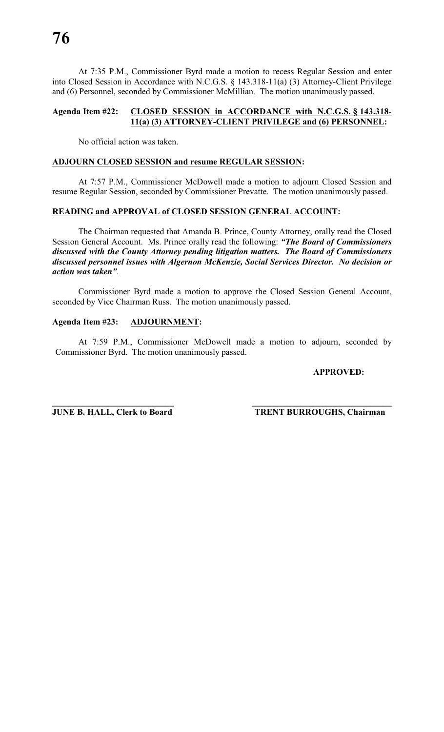At 7:35 P.M., Commissioner Byrd made a motion to recess Regular Session and enter into Closed Session in Accordance with N.C.G.S. § 143.318-11(a) (3) Attorney-Client Privilege and (6) Personnel, seconded by Commissioner McMillian. The motion unanimously passed.

### **Agenda Item #22: CLOSED SESSION in ACCORDANCE with N.C.G.S. § 143.318- 11(a) (3) ATTORNEY-CLIENT PRIVILEGE and (6) PERSONNEL:**

No official action was taken.

# **ADJOURN CLOSED SESSION and resume REGULAR SESSION:**

At 7:57 P.M., Commissioner McDowell made a motion to adjourn Closed Session and resume Regular Session, seconded by Commissioner Prevatte. The motion unanimously passed.

### **READING and APPROVAL of CLOSED SESSION GENERAL ACCOUNT:**

The Chairman requested that Amanda B. Prince, County Attorney, orally read the Closed Session General Account. Ms. Prince orally read the following: *"The Board of Commissioners discussed with the County Attorney pending litigation matters. The Board of Commissioners discussed personnel issues with Algernon McKenzie, Social Services Director. No decision or action was taken"*.

Commissioner Byrd made a motion to approve the Closed Session General Account, seconded by Vice Chairman Russ. The motion unanimously passed.

#### **Agenda Item #23: ADJOURNMENT:**

At 7:59 P.M., Commissioner McDowell made a motion to adjourn, seconded by Commissioner Byrd. The motion unanimously passed.

### **APPROVED:**

**\_\_\_\_\_\_\_\_\_\_\_\_\_\_\_\_\_\_\_\_\_\_\_\_\_\_\_\_ \_\_\_\_\_\_\_\_\_\_\_\_\_\_\_\_\_\_\_\_\_\_\_\_\_\_\_\_\_\_\_\_ JUNE B. HALL, Clerk to Board TRENT BURROUGHS, Chairman**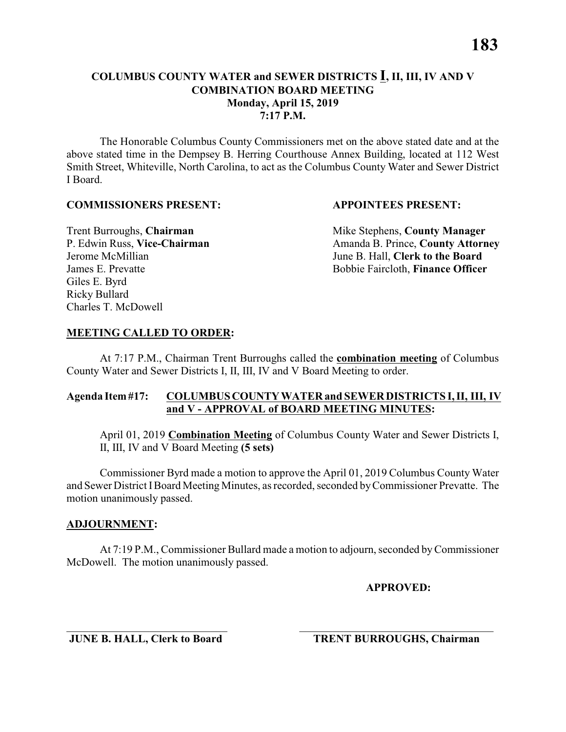#### **COLUMBUS COUNTY WATER and SEWER DISTRICTS I, II, III, IV AND V COMBINATION BOARD MEETING Monday, April 15, 2019 7:17 P.M.**

The Honorable Columbus County Commissioners met on the above stated date and at the above stated time in the Dempsey B. Herring Courthouse Annex Building, located at 112 West Smith Street, Whiteville, North Carolina, to act as the Columbus County Water and Sewer District I Board.

#### **COMMISSIONERS PRESENT: APPOINTEES PRESENT:**

Giles E. Byrd Ricky Bullard Charles T. McDowell

**Trent Burroughs, Chairman** Mike Stephens, **County Manager** P. Edwin Russ, Vice-Chairman Amanda B. Prince, County Attorney Jerome McMillian June B. Hall, **Clerk to the Board** James E. Prevatte Bobbie Faircloth, **Finance Officer**

#### **MEETING CALLED TO ORDER:**

At 7:17 P.M., Chairman Trent Burroughs called the **combination meeting** of Columbus County Water and Sewer Districts I, II, III, IV and V Board Meeting to order.

#### **Agenda Item #17: COLUMBUS COUNTY WATER and SEWER DISTRICTS I, II, III, IV and V - APPROVAL of BOARD MEETING MINUTES:**

April 01, 2019 **Combination Meeting** of Columbus County Water and Sewer Districts I, II, III, IV and V Board Meeting **(5 sets)**

Commissioner Byrd made a motion to approve the April 01, 2019 Columbus County Water and Sewer District IBoard Meeting Minutes, as recorded, seconded by Commissioner Prevatte. The motion unanimously passed.

#### **ADJOURNMENT:**

At 7:19 P.M., Commissioner Bullard made a motion to adjourn, seconded by Commissioner McDowell. The motion unanimously passed.

\_\_\_\_\_\_\_\_\_\_\_\_\_\_\_\_\_\_\_\_\_\_\_\_\_\_\_\_\_ \_\_\_\_\_\_\_\_\_\_\_\_\_\_\_\_\_\_\_\_\_\_\_\_\_\_\_\_\_\_\_\_\_\_\_

**APPROVED:**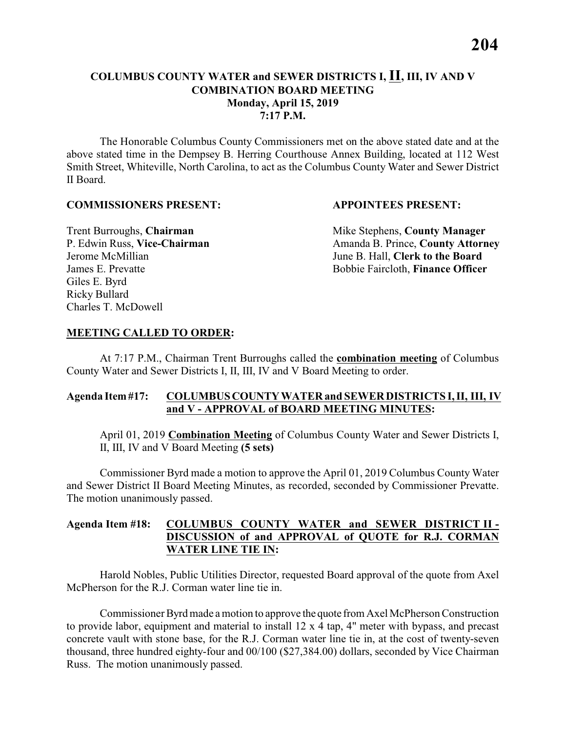### **COLUMBUS COUNTY WATER and SEWER DISTRICTS I, II, III, IV AND V COMBINATION BOARD MEETING Monday, April 15, 2019 7:17 P.M.**

The Honorable Columbus County Commissioners met on the above stated date and at the above stated time in the Dempsey B. Herring Courthouse Annex Building, located at 112 West Smith Street, Whiteville, North Carolina, to act as the Columbus County Water and Sewer District II Board.

#### **COMMISSIONERS PRESENT: APPOINTEES PRESENT:**

Giles E. Byrd Ricky Bullard Charles T. McDowell

**Trent Burroughs, Chairman** Mike Stephens, **County Manager** P. Edwin Russ, Vice-Chairman Amanda B. Prince, County Attorney Jerome McMillian June B. Hall, **Clerk to the Board** James E. Prevatte Bobbie Faircloth, **Finance Officer**

#### **MEETING CALLED TO ORDER:**

At 7:17 P.M., Chairman Trent Burroughs called the **combination meeting** of Columbus County Water and Sewer Districts I, II, III, IV and V Board Meeting to order.

#### **Agenda Item #17: COLUMBUS COUNTY WATER and SEWER DISTRICTS I, II, III, IV and V - APPROVAL of BOARD MEETING MINUTES:**

April 01, 2019 **Combination Meeting** of Columbus County Water and Sewer Districts I, II, III, IV and V Board Meeting **(5 sets)**

Commissioner Byrd made a motion to approve the April 01, 2019 Columbus County Water and Sewer District II Board Meeting Minutes, as recorded, seconded by Commissioner Prevatte. The motion unanimously passed.

#### **Agenda Item #18: COLUMBUS COUNTY WATER and SEWER DISTRICT II - DISCUSSION of and APPROVAL of QUOTE for R.J. CORMAN WATER LINE TIE IN:**

Harold Nobles, Public Utilities Director, requested Board approval of the quote from Axel McPherson for the R.J. Corman water line tie in.

Commissioner Byrd made a motion to approve the quote from Axel McPherson Construction to provide labor, equipment and material to install 12 x 4 tap, 4" meter with bypass, and precast concrete vault with stone base, for the R.J. Corman water line tie in, at the cost of twenty-seven thousand, three hundred eighty-four and 00/100 (\$27,384.00) dollars, seconded by Vice Chairman Russ. The motion unanimously passed.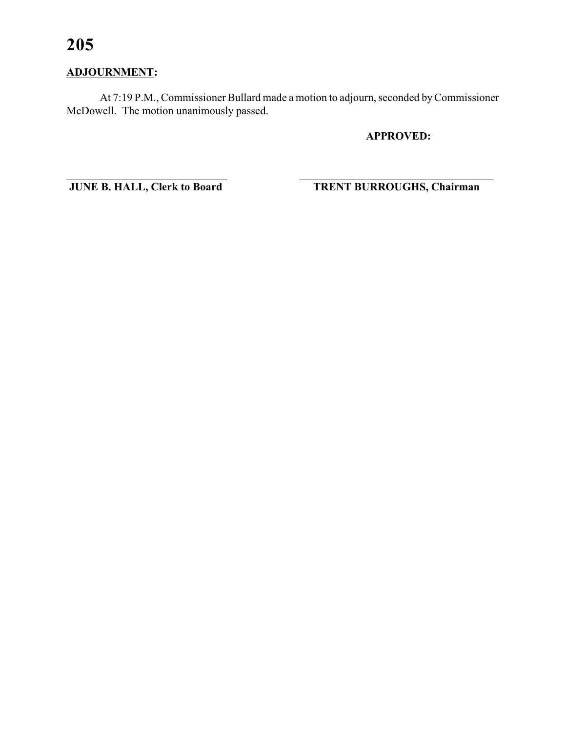# **ADJOURNMENT:**

At 7:19 P.M., Commissioner Bullard made a motion to adjourn, seconded by Commissioner McDowell. The motion unanimously passed.

# **APPROVED:**

JUNE B. HALL, Clerk to Board

**TRENT BURROUGHS, Chairman**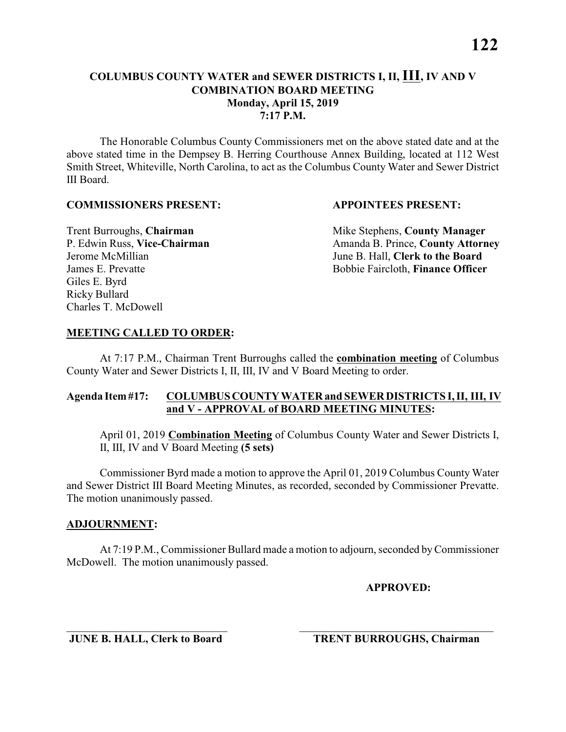The Honorable Columbus County Commissioners met on the above stated date and at the above stated time in the Dempsey B. Herring Courthouse Annex Building, located at 112 West Smith Street, Whiteville, North Carolina, to act as the Columbus County Water and Sewer District III Board.

#### **COMMISSIONERS PRESENT: APPOINTEES PRESENT:**

Giles E. Byrd Ricky Bullard Charles T. McDowell

**Trent Burroughs, Chairman** Mike Stephens, **County Manager** P. Edwin Russ, Vice-Chairman Amanda B. Prince, County Attorney Jerome McMillian June B. Hall, **Clerk to the Board** James E. Prevatte Bobbie Faircloth, **Finance Officer**

#### **MEETING CALLED TO ORDER:**

At 7:17 P.M., Chairman Trent Burroughs called the **combination meeting** of Columbus County Water and Sewer Districts I, II, III, IV and V Board Meeting to order.

#### **Agenda Item #17: COLUMBUS COUNTY WATER and SEWER DISTRICTS I, II, III, IV and V - APPROVAL of BOARD MEETING MINUTES:**

April 01, 2019 **Combination Meeting** of Columbus County Water and Sewer Districts I, II, III, IV and V Board Meeting **(5 sets)**

Commissioner Byrd made a motion to approve the April 01, 2019 Columbus County Water and Sewer District III Board Meeting Minutes, as recorded, seconded by Commissioner Prevatte. The motion unanimously passed.

#### **ADJOURNMENT:**

At 7:19 P.M., Commissioner Bullard made a motion to adjourn, seconded by Commissioner McDowell. The motion unanimously passed.

\_\_\_\_\_\_\_\_\_\_\_\_\_\_\_\_\_\_\_\_\_\_\_\_\_\_\_\_\_ \_\_\_\_\_\_\_\_\_\_\_\_\_\_\_\_\_\_\_\_\_\_\_\_\_\_\_\_\_\_\_\_\_\_\_

**APPROVED:**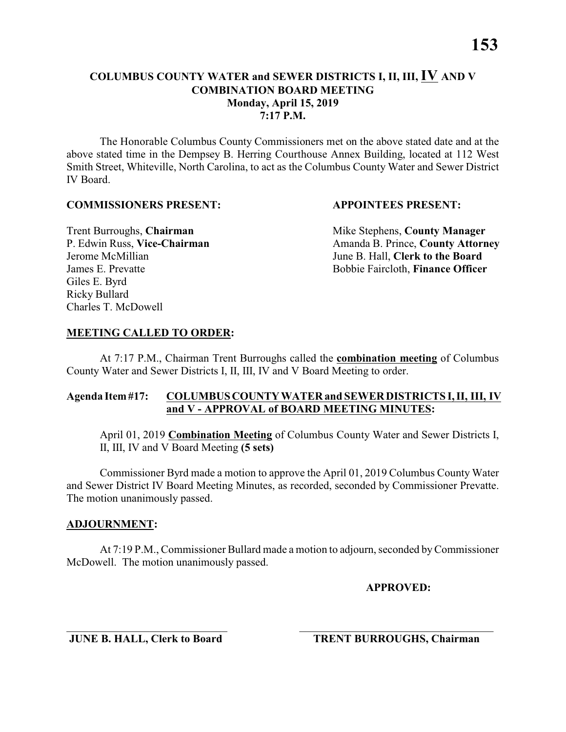#### **COLUMBUS COUNTY WATER and SEWER DISTRICTS I, II, III, IV AND V COMBINATION BOARD MEETING Monday, April 15, 2019 7:17 P.M.**

The Honorable Columbus County Commissioners met on the above stated date and at the above stated time in the Dempsey B. Herring Courthouse Annex Building, located at 112 West Smith Street, Whiteville, North Carolina, to act as the Columbus County Water and Sewer District IV Board.

#### **COMMISSIONERS PRESENT: APPOINTEES PRESENT:**

Giles E. Byrd Ricky Bullard Charles T. McDowell

**Trent Burroughs, Chairman** Mike Stephens, **County Manager** P. Edwin Russ, Vice-Chairman Amanda B. Prince, County Attorney Jerome McMillian June B. Hall, **Clerk to the Board** James E. Prevatte Bobbie Faircloth, **Finance Officer**

### **MEETING CALLED TO ORDER:**

At 7:17 P.M., Chairman Trent Burroughs called the **combination meeting** of Columbus County Water and Sewer Districts I, II, III, IV and V Board Meeting to order.

### **Agenda Item #17: COLUMBUS COUNTY WATER and SEWER DISTRICTS I, II, III, IV and V - APPROVAL of BOARD MEETING MINUTES:**

April 01, 2019 **Combination Meeting** of Columbus County Water and Sewer Districts I, II, III, IV and V Board Meeting **(5 sets)**

Commissioner Byrd made a motion to approve the April 01, 2019 Columbus County Water and Sewer District IV Board Meeting Minutes, as recorded, seconded by Commissioner Prevatte. The motion unanimously passed.

### **ADJOURNMENT:**

At 7:19 P.M., Commissioner Bullard made a motion to adjourn, seconded by Commissioner McDowell. The motion unanimously passed.

\_\_\_\_\_\_\_\_\_\_\_\_\_\_\_\_\_\_\_\_\_\_\_\_\_\_\_\_\_ \_\_\_\_\_\_\_\_\_\_\_\_\_\_\_\_\_\_\_\_\_\_\_\_\_\_\_\_\_\_\_\_\_\_\_

**APPROVED:**